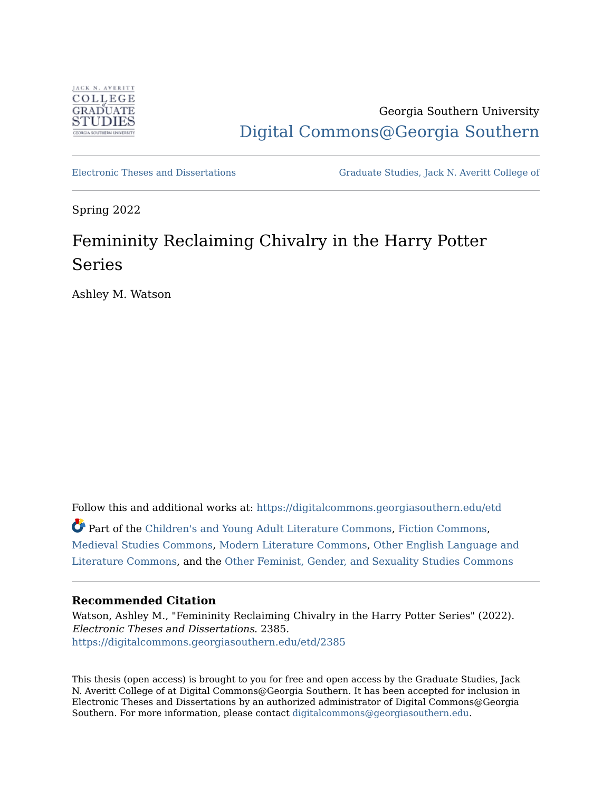

Georgia Southern University [Digital Commons@Georgia Southern](https://digitalcommons.georgiasouthern.edu/) 

[Electronic Theses and Dissertations](https://digitalcommons.georgiasouthern.edu/etd) [Graduate Studies, Jack N. Averitt College of](https://digitalcommons.georgiasouthern.edu/cogs) 

Spring 2022

# Femininity Reclaiming Chivalry in the Harry Potter Series

Ashley M. Watson

Follow this and additional works at: [https://digitalcommons.georgiasouthern.edu/etd](https://digitalcommons.georgiasouthern.edu/etd?utm_source=digitalcommons.georgiasouthern.edu%2Fetd%2F2385&utm_medium=PDF&utm_campaign=PDFCoverPages)  Part of the [Children's and Young Adult Literature Commons](http://network.bepress.com/hgg/discipline/1289?utm_source=digitalcommons.georgiasouthern.edu%2Fetd%2F2385&utm_medium=PDF&utm_campaign=PDFCoverPages), [Fiction Commons](http://network.bepress.com/hgg/discipline/1151?utm_source=digitalcommons.georgiasouthern.edu%2Fetd%2F2385&utm_medium=PDF&utm_campaign=PDFCoverPages), [Medieval Studies Commons](http://network.bepress.com/hgg/discipline/480?utm_source=digitalcommons.georgiasouthern.edu%2Fetd%2F2385&utm_medium=PDF&utm_campaign=PDFCoverPages), [Modern Literature Commons](http://network.bepress.com/hgg/discipline/1050?utm_source=digitalcommons.georgiasouthern.edu%2Fetd%2F2385&utm_medium=PDF&utm_campaign=PDFCoverPages), [Other English Language and](http://network.bepress.com/hgg/discipline/462?utm_source=digitalcommons.georgiasouthern.edu%2Fetd%2F2385&utm_medium=PDF&utm_campaign=PDFCoverPages)  [Literature Commons](http://network.bepress.com/hgg/discipline/462?utm_source=digitalcommons.georgiasouthern.edu%2Fetd%2F2385&utm_medium=PDF&utm_campaign=PDFCoverPages), and the [Other Feminist, Gender, and Sexuality Studies Commons](http://network.bepress.com/hgg/discipline/562?utm_source=digitalcommons.georgiasouthern.edu%2Fetd%2F2385&utm_medium=PDF&utm_campaign=PDFCoverPages) 

# **Recommended Citation**

Watson, Ashley M., "Femininity Reclaiming Chivalry in the Harry Potter Series" (2022). Electronic Theses and Dissertations. 2385. [https://digitalcommons.georgiasouthern.edu/etd/2385](https://digitalcommons.georgiasouthern.edu/etd/2385?utm_source=digitalcommons.georgiasouthern.edu%2Fetd%2F2385&utm_medium=PDF&utm_campaign=PDFCoverPages) 

This thesis (open access) is brought to you for free and open access by the Graduate Studies, Jack N. Averitt College of at Digital Commons@Georgia Southern. It has been accepted for inclusion in Electronic Theses and Dissertations by an authorized administrator of Digital Commons@Georgia Southern. For more information, please contact [digitalcommons@georgiasouthern.edu](mailto:digitalcommons@georgiasouthern.edu).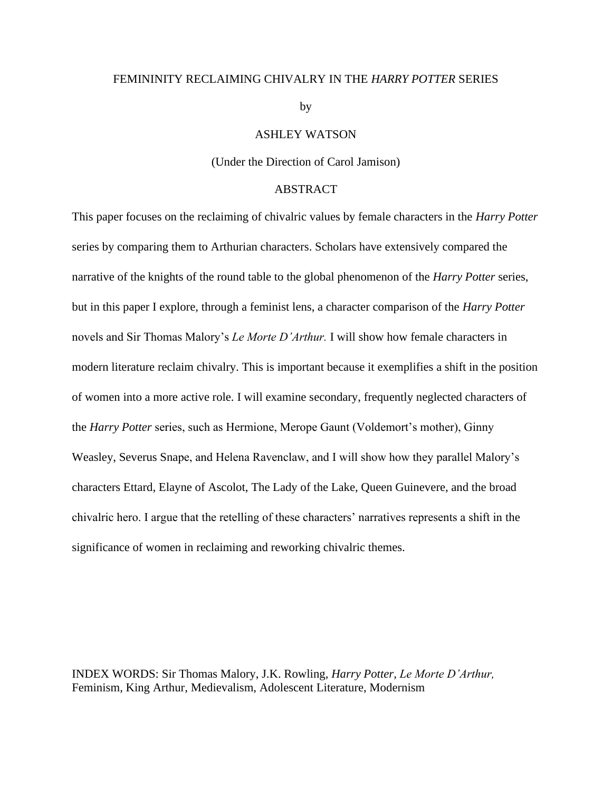### FEMININITY RECLAIMING CHIVALRY IN THE *HARRY POTTER* SERIES

by

### ASHLEY WATSON

### (Under the Direction of Carol Jamison)

### ABSTRACT

This paper focuses on the reclaiming of chivalric values by female characters in the *Harry Potter*  series by comparing them to Arthurian characters. Scholars have extensively compared the narrative of the knights of the round table to the global phenomenon of the *Harry Potter* series, but in this paper I explore, through a feminist lens, a character comparison of the *Harry Potter* novels and Sir Thomas Malory's *Le Morte D'Arthur.* I will show how female characters in modern literature reclaim chivalry. This is important because it exemplifies a shift in the position of women into a more active role. I will examine secondary, frequently neglected characters of the *Harry Potter* series, such as Hermione, Merope Gaunt (Voldemort's mother), Ginny Weasley, Severus Snape, and Helena Ravenclaw, and I will show how they parallel Malory's characters Ettard, Elayne of Ascolot, The Lady of the Lake, Queen Guinevere, and the broad chivalric hero. I argue that the retelling of these characters' narratives represents a shift in the significance of women in reclaiming and reworking chivalric themes.

INDEX WORDS: Sir Thomas Malory, J.K. Rowling, *Harry Potter*, *Le Morte D'Arthur,* Feminism, King Arthur, Medievalism, Adolescent Literature, Modernism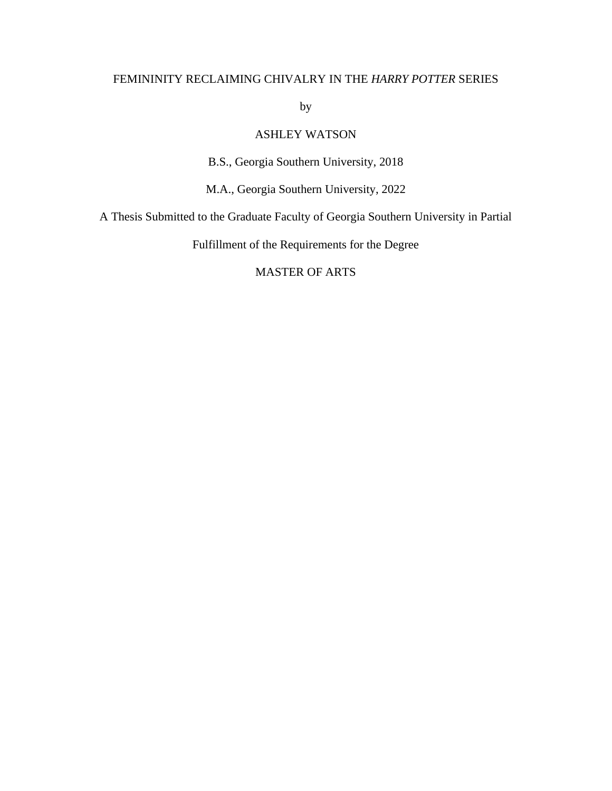# FEMININITY RECLAIMING CHIVALRY IN THE *HARRY POTTER* SERIES

by

# ASHLEY WATSON

B.S., Georgia Southern University, 2018

M.A., Georgia Southern University, 2022

A Thesis Submitted to the Graduate Faculty of Georgia Southern University in Partial

Fulfillment of the Requirements for the Degree

# MASTER OF ARTS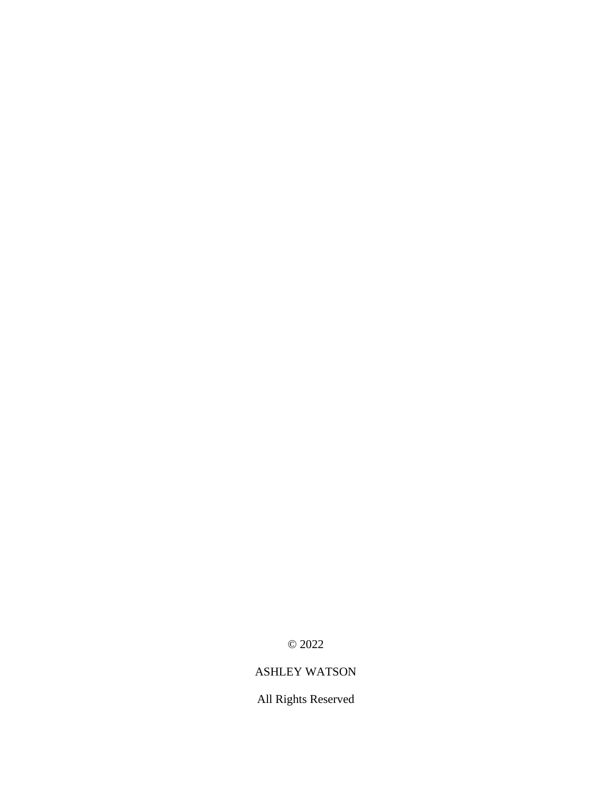© 2022

# ASHLEY WATSON

All Rights Reserved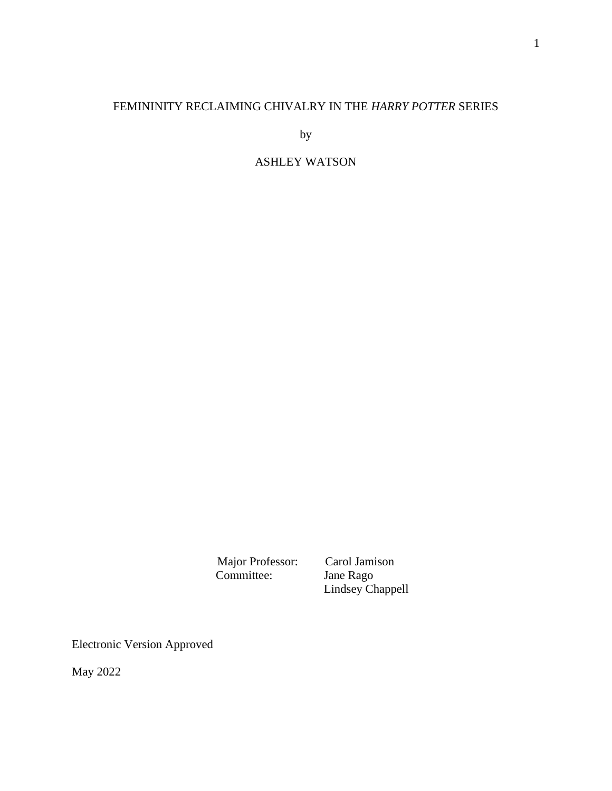# FEMININITY RECLAIMING CHIVALRY IN THE *HARRY POTTER* SERIES

by

# ASHLEY WATSON

Major Professor: Carol Jamison<br>Committee: Jane Rago

Jane Rago Lindsey Chappell

Electronic Version Approved

May 2022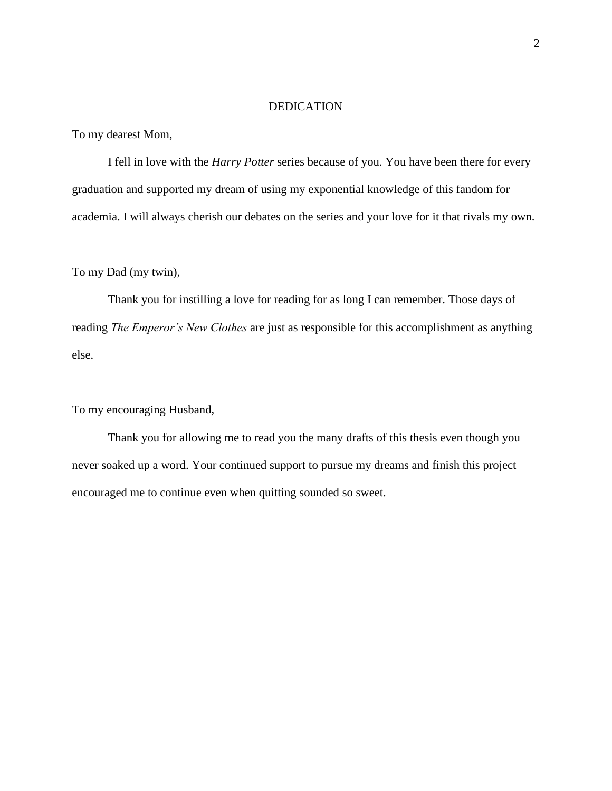### DEDICATION

To my dearest Mom,

I fell in love with the *Harry Potter* series because of you. You have been there for every graduation and supported my dream of using my exponential knowledge of this fandom for academia. I will always cherish our debates on the series and your love for it that rivals my own.

To my Dad (my twin),

Thank you for instilling a love for reading for as long I can remember. Those days of reading *The Emperor's New Clothes* are just as responsible for this accomplishment as anything else.

### To my encouraging Husband,

Thank you for allowing me to read you the many drafts of this thesis even though you never soaked up a word. Your continued support to pursue my dreams and finish this project encouraged me to continue even when quitting sounded so sweet.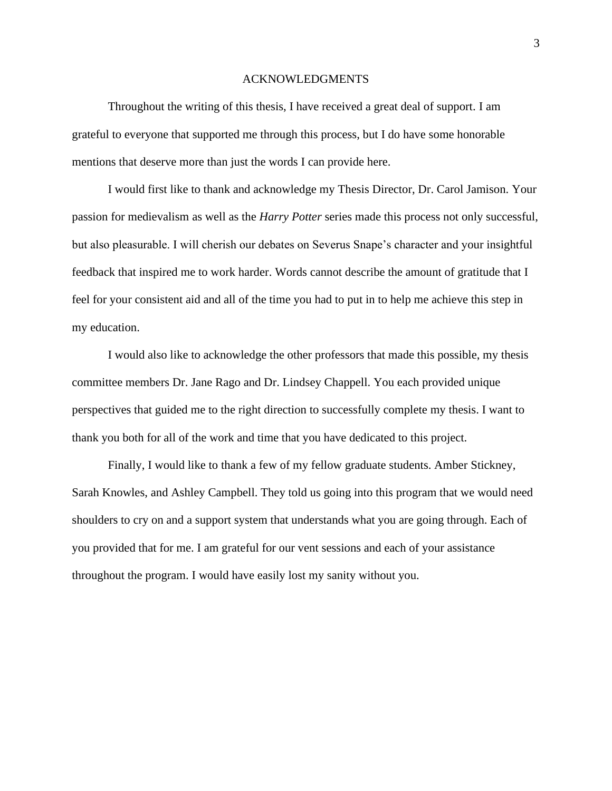#### ACKNOWLEDGMENTS

Throughout the writing of this thesis, I have received a great deal of support. I am grateful to everyone that supported me through this process, but I do have some honorable mentions that deserve more than just the words I can provide here.

I would first like to thank and acknowledge my Thesis Director, Dr. Carol Jamison. Your passion for medievalism as well as the *Harry Potter* series made this process not only successful, but also pleasurable. I will cherish our debates on Severus Snape's character and your insightful feedback that inspired me to work harder. Words cannot describe the amount of gratitude that I feel for your consistent aid and all of the time you had to put in to help me achieve this step in my education.

I would also like to acknowledge the other professors that made this possible, my thesis committee members Dr. Jane Rago and Dr. Lindsey Chappell. You each provided unique perspectives that guided me to the right direction to successfully complete my thesis. I want to thank you both for all of the work and time that you have dedicated to this project.

Finally, I would like to thank a few of my fellow graduate students. Amber Stickney, Sarah Knowles, and Ashley Campbell. They told us going into this program that we would need shoulders to cry on and a support system that understands what you are going through. Each of you provided that for me. I am grateful for our vent sessions and each of your assistance throughout the program. I would have easily lost my sanity without you.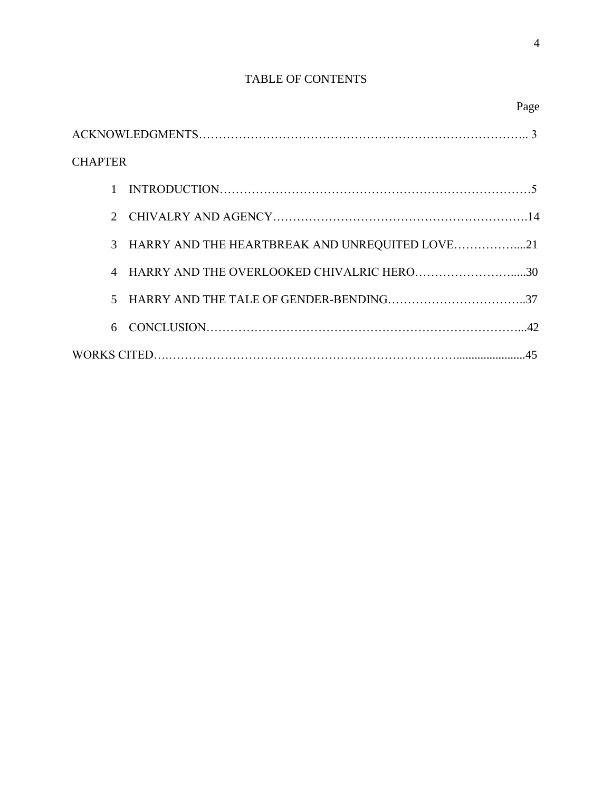# TABLE OF CONTENTS

| Page                                                            |
|-----------------------------------------------------------------|
|                                                                 |
| <b>CHAPTER</b>                                                  |
|                                                                 |
|                                                                 |
| HARRY AND THE HEARTBREAK AND UNREQUITED LOVE21<br>$\mathcal{F}$ |
| 4 HARRY AND THE OVERLOOKED CHIVALRIC HERO30                     |
| $\sim$                                                          |
| 6                                                               |
|                                                                 |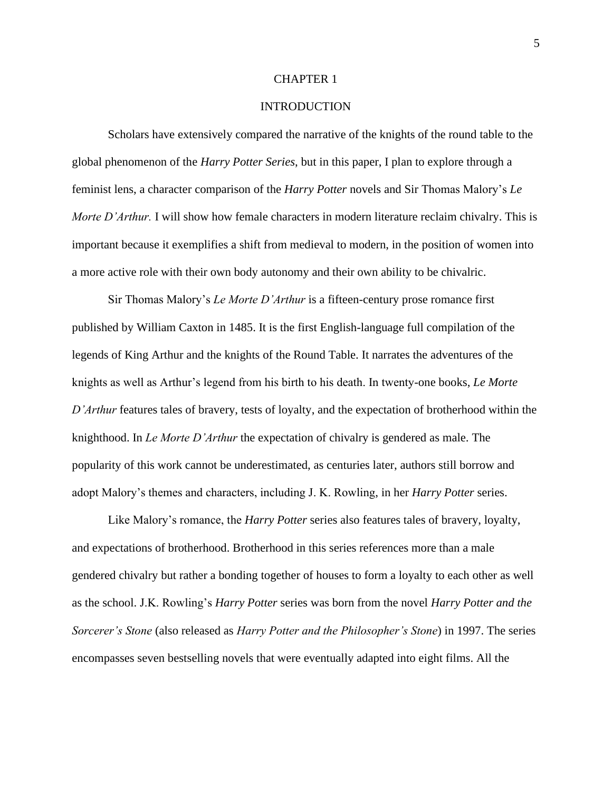### CHAPTER 1

### INTRODUCTION

Scholars have extensively compared the narrative of the knights of the round table to the global phenomenon of the *Harry Potter Series*, but in this paper, I plan to explore through a feminist lens, a character comparison of the *Harry Potter* novels and Sir Thomas Malory's *Le Morte D'Arthur.* I will show how female characters in modern literature reclaim chivalry. This is important because it exemplifies a shift from medieval to modern, in the position of women into a more active role with their own body autonomy and their own ability to be chivalric.

Sir Thomas Malory's *Le Morte D'Arthur* is a fifteen-century prose romance first published by William Caxton in 1485. It is the first English-language full compilation of the legends of King Arthur and the knights of the Round Table. It narrates the adventures of the knights as well as Arthur's legend from his birth to his death. In twenty-one books, *Le Morte D'Arthur* features tales of bravery, tests of loyalty, and the expectation of brotherhood within the knighthood. In *Le Morte D'Arthur* the expectation of chivalry is gendered as male. The popularity of this work cannot be underestimated, as centuries later, authors still borrow and adopt Malory's themes and characters, including J. K. Rowling, in her *Harry Potter* series.

Like Malory's romance, the *Harry Potter* series also features tales of bravery, loyalty, and expectations of brotherhood. Brotherhood in this series references more than a male gendered chivalry but rather a bonding together of houses to form a loyalty to each other as well as the school. J.K. Rowling's *Harry Potter* series was born from the novel *Harry Potter and the Sorcerer's Stone* (also released as *Harry Potter and the Philosopher's Stone*) in 1997. The series encompasses seven bestselling novels that were eventually adapted into eight films. All the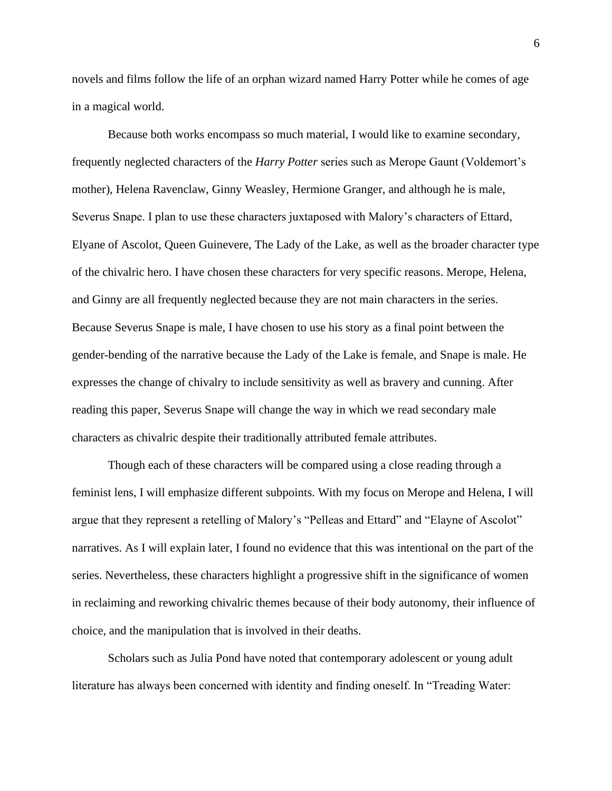novels and films follow the life of an orphan wizard named Harry Potter while he comes of age in a magical world.

Because both works encompass so much material, I would like to examine secondary, frequently neglected characters of the *Harry Potter* series such as Merope Gaunt (Voldemort's mother), Helena Ravenclaw, Ginny Weasley, Hermione Granger, and although he is male, Severus Snape. I plan to use these characters juxtaposed with Malory's characters of Ettard, Elyane of Ascolot, Queen Guinevere, The Lady of the Lake, as well as the broader character type of the chivalric hero. I have chosen these characters for very specific reasons. Merope, Helena, and Ginny are all frequently neglected because they are not main characters in the series. Because Severus Snape is male, I have chosen to use his story as a final point between the gender-bending of the narrative because the Lady of the Lake is female, and Snape is male. He expresses the change of chivalry to include sensitivity as well as bravery and cunning. After reading this paper, Severus Snape will change the way in which we read secondary male characters as chivalric despite their traditionally attributed female attributes.

Though each of these characters will be compared using a close reading through a feminist lens, I will emphasize different subpoints. With my focus on Merope and Helena, I will argue that they represent a retelling of Malory's "Pelleas and Ettard" and "Elayne of Ascolot" narratives. As I will explain later, I found no evidence that this was intentional on the part of the series. Nevertheless, these characters highlight a progressive shift in the significance of women in reclaiming and reworking chivalric themes because of their body autonomy, their influence of choice, and the manipulation that is involved in their deaths.

Scholars such as Julia Pond have noted that contemporary adolescent or young adult literature has always been concerned with identity and finding oneself. In "Treading Water: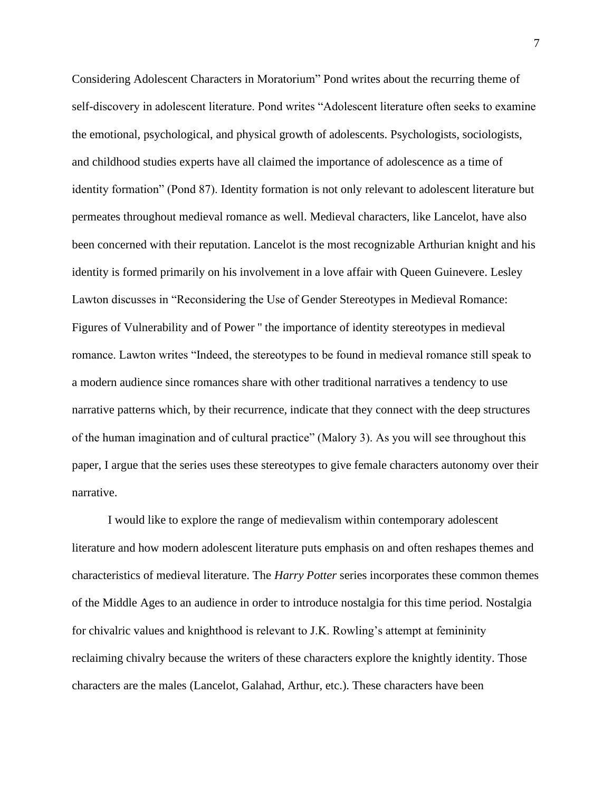Considering Adolescent Characters in Moratorium" Pond writes about the recurring theme of self-discovery in adolescent literature. Pond writes "Adolescent literature often seeks to examine the emotional, psychological, and physical growth of adolescents. Psychologists, sociologists, and childhood studies experts have all claimed the importance of adolescence as a time of identity formation" (Pond 87). Identity formation is not only relevant to adolescent literature but permeates throughout medieval romance as well. Medieval characters, like Lancelot, have also been concerned with their reputation. Lancelot is the most recognizable Arthurian knight and his identity is formed primarily on his involvement in a love affair with Queen Guinevere. Lesley Lawton discusses in "Reconsidering the Use of Gender Stereotypes in Medieval Romance: Figures of Vulnerability and of Power '' the importance of identity stereotypes in medieval romance. Lawton writes "Indeed, the stereotypes to be found in medieval romance still speak to a modern audience since romances share with other traditional narratives a tendency to use narrative patterns which, by their recurrence, indicate that they connect with the deep structures of the human imagination and of cultural practice" (Malory 3). As you will see throughout this paper, I argue that the series uses these stereotypes to give female characters autonomy over their narrative.

I would like to explore the range of medievalism within contemporary adolescent literature and how modern adolescent literature puts emphasis on and often reshapes themes and characteristics of medieval literature. The *Harry Potter* series incorporates these common themes of the Middle Ages to an audience in order to introduce nostalgia for this time period. Nostalgia for chivalric values and knighthood is relevant to J.K. Rowling's attempt at femininity reclaiming chivalry because the writers of these characters explore the knightly identity. Those characters are the males (Lancelot, Galahad, Arthur, etc.). These characters have been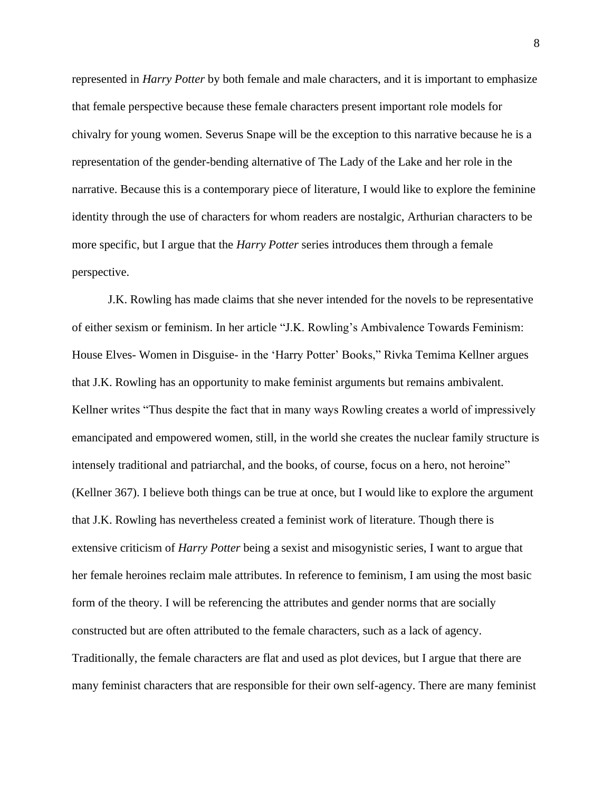represented in *Harry Potter* by both female and male characters, and it is important to emphasize that female perspective because these female characters present important role models for chivalry for young women. Severus Snape will be the exception to this narrative because he is a representation of the gender-bending alternative of The Lady of the Lake and her role in the narrative. Because this is a contemporary piece of literature, I would like to explore the feminine identity through the use of characters for whom readers are nostalgic, Arthurian characters to be more specific, but I argue that the *Harry Potter* series introduces them through a female perspective.

J.K. Rowling has made claims that she never intended for the novels to be representative of either sexism or feminism. In her article "J.K. Rowling's Ambivalence Towards Feminism: House Elves- Women in Disguise- in the 'Harry Potter' Books," Rivka Temima Kellner argues that J.K. Rowling has an opportunity to make feminist arguments but remains ambivalent. Kellner writes "Thus despite the fact that in many ways Rowling creates a world of impressively emancipated and empowered women, still, in the world she creates the nuclear family structure is intensely traditional and patriarchal, and the books, of course, focus on a hero, not heroine" (Kellner 367). I believe both things can be true at once, but I would like to explore the argument that J.K. Rowling has nevertheless created a feminist work of literature. Though there is extensive criticism of *Harry Potter* being a sexist and misogynistic series, I want to argue that her female heroines reclaim male attributes. In reference to feminism, I am using the most basic form of the theory. I will be referencing the attributes and gender norms that are socially constructed but are often attributed to the female characters, such as a lack of agency. Traditionally, the female characters are flat and used as plot devices, but I argue that there are many feminist characters that are responsible for their own self-agency. There are many feminist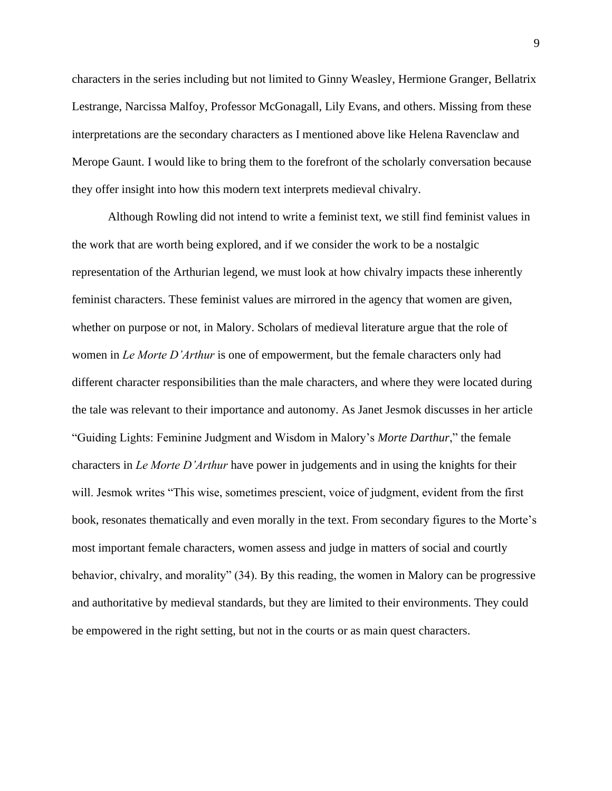characters in the series including but not limited to Ginny Weasley, Hermione Granger, Bellatrix Lestrange, Narcissa Malfoy, Professor McGonagall, Lily Evans, and others. Missing from these interpretations are the secondary characters as I mentioned above like Helena Ravenclaw and Merope Gaunt. I would like to bring them to the forefront of the scholarly conversation because they offer insight into how this modern text interprets medieval chivalry.

Although Rowling did not intend to write a feminist text, we still find feminist values in the work that are worth being explored, and if we consider the work to be a nostalgic representation of the Arthurian legend, we must look at how chivalry impacts these inherently feminist characters. These feminist values are mirrored in the agency that women are given, whether on purpose or not, in Malory. Scholars of medieval literature argue that the role of women in *Le Morte D'Arthur* is one of empowerment, but the female characters only had different character responsibilities than the male characters, and where they were located during the tale was relevant to their importance and autonomy. As Janet Jesmok discusses in her article "Guiding Lights: Feminine Judgment and Wisdom in Malory's *Morte Darthur*," the female characters in *Le Morte D'Arthur* have power in judgements and in using the knights for their will. Jesmok writes "This wise, sometimes prescient, voice of judgment, evident from the first book, resonates thematically and even morally in the text. From secondary figures to the Morte's most important female characters, women assess and judge in matters of social and courtly behavior, chivalry, and morality" (34). By this reading, the women in Malory can be progressive and authoritative by medieval standards, but they are limited to their environments. They could be empowered in the right setting, but not in the courts or as main quest characters.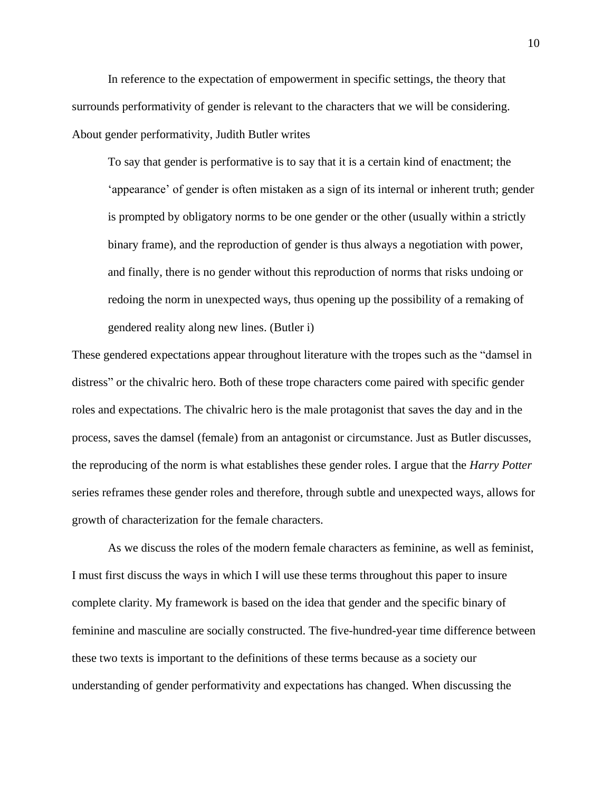In reference to the expectation of empowerment in specific settings, the theory that surrounds performativity of gender is relevant to the characters that we will be considering. About gender performativity, Judith Butler writes

To say that gender is performative is to say that it is a certain kind of enactment; the 'appearance' of gender is often mistaken as a sign of its internal or inherent truth; gender is prompted by obligatory norms to be one gender or the other (usually within a strictly binary frame), and the reproduction of gender is thus always a negotiation with power, and finally, there is no gender without this reproduction of norms that risks undoing or redoing the norm in unexpected ways, thus opening up the possibility of a remaking of gendered reality along new lines. (Butler i)

These gendered expectations appear throughout literature with the tropes such as the "damsel in distress" or the chivalric hero. Both of these trope characters come paired with specific gender roles and expectations. The chivalric hero is the male protagonist that saves the day and in the process, saves the damsel (female) from an antagonist or circumstance. Just as Butler discusses, the reproducing of the norm is what establishes these gender roles. I argue that the *Harry Potter* series reframes these gender roles and therefore, through subtle and unexpected ways, allows for growth of characterization for the female characters.

As we discuss the roles of the modern female characters as feminine, as well as feminist, I must first discuss the ways in which I will use these terms throughout this paper to insure complete clarity. My framework is based on the idea that gender and the specific binary of feminine and masculine are socially constructed. The five-hundred-year time difference between these two texts is important to the definitions of these terms because as a society our understanding of gender performativity and expectations has changed. When discussing the

10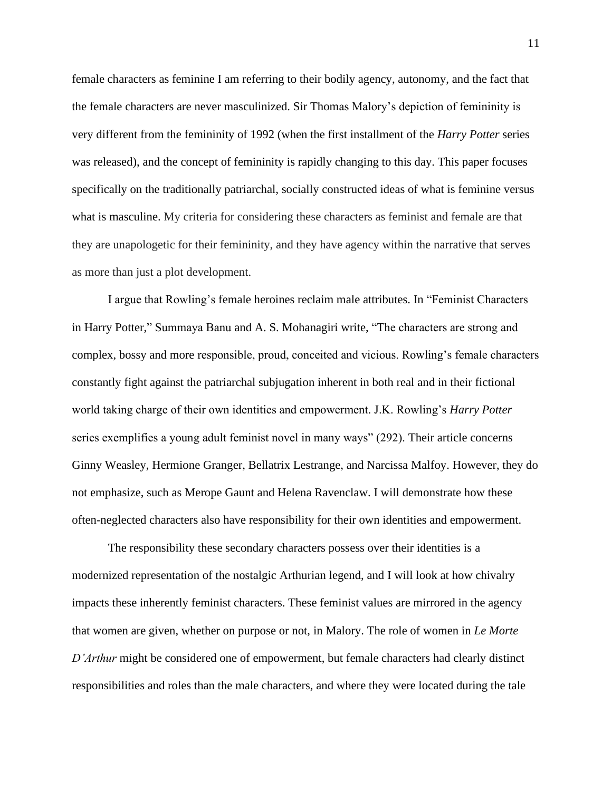female characters as feminine I am referring to their bodily agency, autonomy, and the fact that the female characters are never masculinized. Sir Thomas Malory's depiction of femininity is very different from the femininity of 1992 (when the first installment of the *Harry Potter* series was released), and the concept of femininity is rapidly changing to this day. This paper focuses specifically on the traditionally patriarchal, socially constructed ideas of what is feminine versus what is masculine. My criteria for considering these characters as feminist and female are that they are unapologetic for their femininity, and they have agency within the narrative that serves as more than just a plot development.

I argue that Rowling's female heroines reclaim male attributes. In "Feminist Characters in Harry Potter," Summaya Banu and A. S. Mohanagiri write, "The characters are strong and complex, bossy and more responsible, proud, conceited and vicious. Rowling's female characters constantly fight against the patriarchal subjugation inherent in both real and in their fictional world taking charge of their own identities and empowerment. J.K. Rowling's *Harry Potter* series exemplifies a young adult feminist novel in many ways" (292). Their article concerns Ginny Weasley, Hermione Granger, Bellatrix Lestrange, and Narcissa Malfoy. However, they do not emphasize, such as Merope Gaunt and Helena Ravenclaw. I will demonstrate how these often-neglected characters also have responsibility for their own identities and empowerment.

The responsibility these secondary characters possess over their identities is a modernized representation of the nostalgic Arthurian legend, and I will look at how chivalry impacts these inherently feminist characters. These feminist values are mirrored in the agency that women are given, whether on purpose or not, in Malory. The role of women in *Le Morte D'Arthur* might be considered one of empowerment, but female characters had clearly distinct responsibilities and roles than the male characters, and where they were located during the tale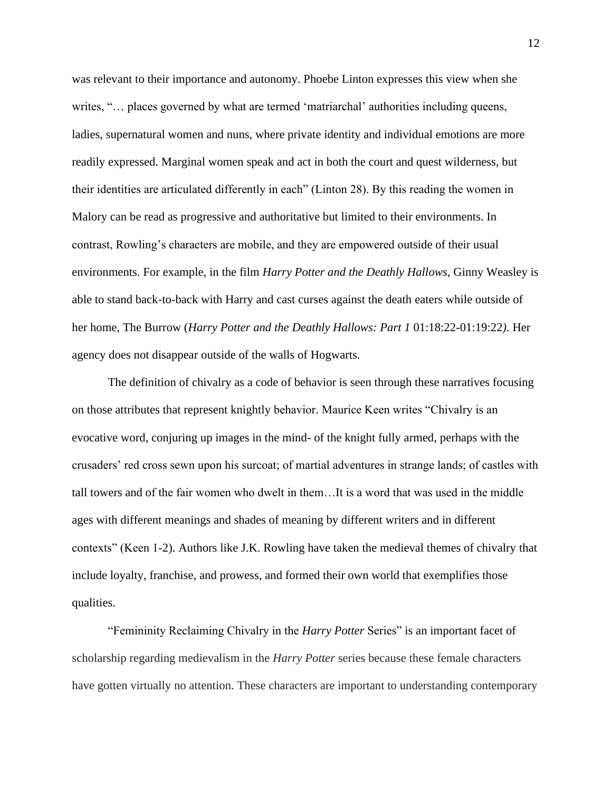was relevant to their importance and autonomy. Phoebe Linton expresses this view when she writes, "... places governed by what are termed 'matriarchal' authorities including queens, ladies, supernatural women and nuns, where private identity and individual emotions are more readily expressed. Marginal women speak and act in both the court and quest wilderness, but their identities are articulated differently in each" (Linton 28). By this reading the women in Malory can be read as progressive and authoritative but limited to their environments. In contrast, Rowling's characters are mobile, and they are empowered outside of their usual environments. For example, in the film *Harry Potter and the Deathly Hallows*, Ginny Weasley is able to stand back-to-back with Harry and cast curses against the death eaters while outside of her home, The Burrow (*Harry Potter and the Deathly Hallows: Part 1* 01:18:22-01:19:22*)*. Her agency does not disappear outside of the walls of Hogwarts.

The definition of chivalry as a code of behavior is seen through these narratives focusing on those attributes that represent knightly behavior. Maurice Keen writes "Chivalry is an evocative word, conjuring up images in the mind- of the knight fully armed, perhaps with the crusaders' red cross sewn upon his surcoat; of martial adventures in strange lands; of castles with tall towers and of the fair women who dwelt in them…It is a word that was used in the middle ages with different meanings and shades of meaning by different writers and in different contexts" (Keen 1-2). Authors like J.K. Rowling have taken the medieval themes of chivalry that include loyalty, franchise, and prowess, and formed their own world that exemplifies those qualities.

"Femininity Reclaiming Chivalry in the *Harry Potter* Series" is an important facet of scholarship regarding medievalism in the *Harry Potter* series because these female characters have gotten virtually no attention. These characters are important to understanding contemporary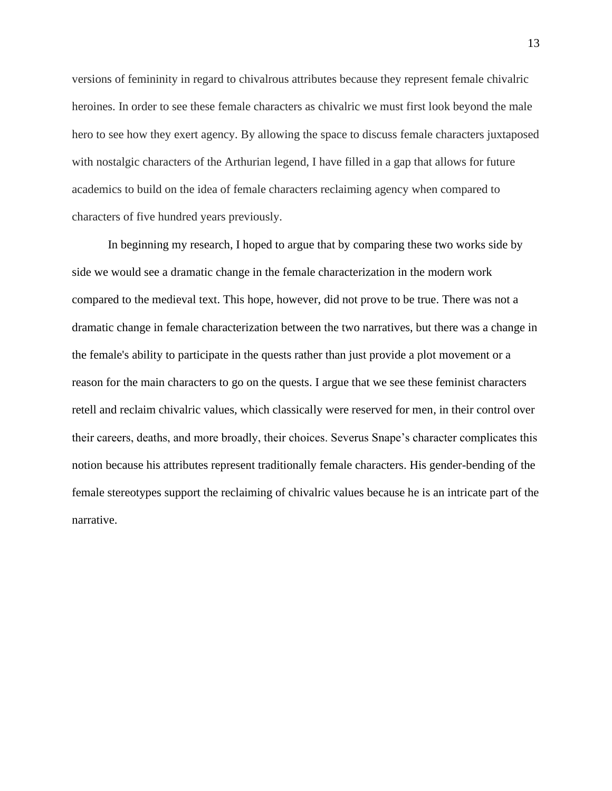versions of femininity in regard to chivalrous attributes because they represent female chivalric heroines. In order to see these female characters as chivalric we must first look beyond the male hero to see how they exert agency. By allowing the space to discuss female characters juxtaposed with nostalgic characters of the Arthurian legend, I have filled in a gap that allows for future academics to build on the idea of female characters reclaiming agency when compared to characters of five hundred years previously.

In beginning my research, I hoped to argue that by comparing these two works side by side we would see a dramatic change in the female characterization in the modern work compared to the medieval text. This hope, however, did not prove to be true. There was not a dramatic change in female characterization between the two narratives, but there was a change in the female's ability to participate in the quests rather than just provide a plot movement or a reason for the main characters to go on the quests. I argue that we see these feminist characters retell and reclaim chivalric values, which classically were reserved for men, in their control over their careers, deaths, and more broadly, their choices. Severus Snape's character complicates this notion because his attributes represent traditionally female characters. His gender-bending of the female stereotypes support the reclaiming of chivalric values because he is an intricate part of the narrative.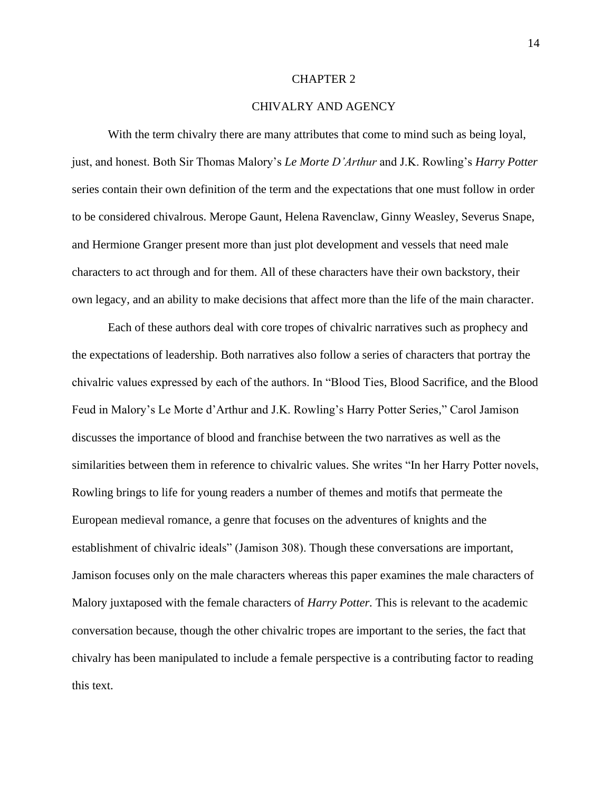#### CHAPTER 2

## CHIVALRY AND AGENCY

With the term chivalry there are many attributes that come to mind such as being loyal, just, and honest. Both Sir Thomas Malory's *Le Morte D'Arthur* and J.K. Rowling's *Harry Potter* series contain their own definition of the term and the expectations that one must follow in order to be considered chivalrous. Merope Gaunt, Helena Ravenclaw, Ginny Weasley, Severus Snape, and Hermione Granger present more than just plot development and vessels that need male characters to act through and for them. All of these characters have their own backstory, their own legacy, and an ability to make decisions that affect more than the life of the main character.

Each of these authors deal with core tropes of chivalric narratives such as prophecy and the expectations of leadership. Both narratives also follow a series of characters that portray the chivalric values expressed by each of the authors. In "Blood Ties, Blood Sacrifice, and the Blood Feud in Malory's Le Morte d'Arthur and J.K. Rowling's Harry Potter Series," Carol Jamison discusses the importance of blood and franchise between the two narratives as well as the similarities between them in reference to chivalric values. She writes "In her Harry Potter novels, Rowling brings to life for young readers a number of themes and motifs that permeate the European medieval romance, a genre that focuses on the adventures of knights and the establishment of chivalric ideals" (Jamison 308). Though these conversations are important, Jamison focuses only on the male characters whereas this paper examines the male characters of Malory juxtaposed with the female characters of *Harry Potter.* This is relevant to the academic conversation because, though the other chivalric tropes are important to the series, the fact that chivalry has been manipulated to include a female perspective is a contributing factor to reading this text.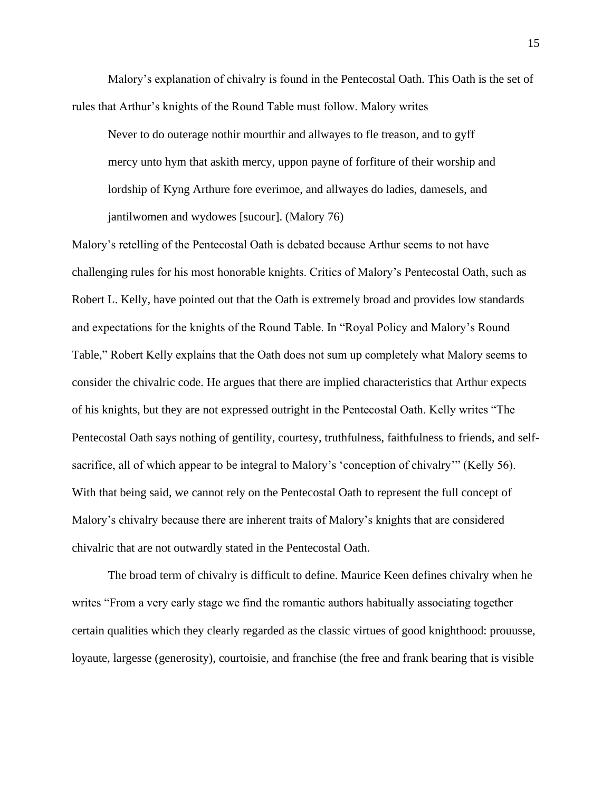Malory's explanation of chivalry is found in the Pentecostal Oath. This Oath is the set of rules that Arthur's knights of the Round Table must follow. Malory writes

Never to do outerage nothir mourthir and allwayes to fle treason, and to gyff mercy unto hym that askith mercy, uppon payne of forfiture of their worship and lordship of Kyng Arthure fore everimoe, and allwayes do ladies, damesels, and jantilwomen and wydowes [sucour]. (Malory 76)

Malory's retelling of the Pentecostal Oath is debated because Arthur seems to not have challenging rules for his most honorable knights. Critics of Malory's Pentecostal Oath, such as Robert L. Kelly, have pointed out that the Oath is extremely broad and provides low standards and expectations for the knights of the Round Table. In "Royal Policy and Malory's Round Table," Robert Kelly explains that the Oath does not sum up completely what Malory seems to consider the chivalric code. He argues that there are implied characteristics that Arthur expects of his knights, but they are not expressed outright in the Pentecostal Oath. Kelly writes "The Pentecostal Oath says nothing of gentility, courtesy, truthfulness, faithfulness to friends, and selfsacrifice, all of which appear to be integral to Malory's 'conception of chivalry'" (Kelly 56). With that being said, we cannot rely on the Pentecostal Oath to represent the full concept of Malory's chivalry because there are inherent traits of Malory's knights that are considered chivalric that are not outwardly stated in the Pentecostal Oath.

The broad term of chivalry is difficult to define. Maurice Keen defines chivalry when he writes "From a very early stage we find the romantic authors habitually associating together certain qualities which they clearly regarded as the classic virtues of good knighthood: prouusse, loyaute, largesse (generosity), courtoisie, and franchise (the free and frank bearing that is visible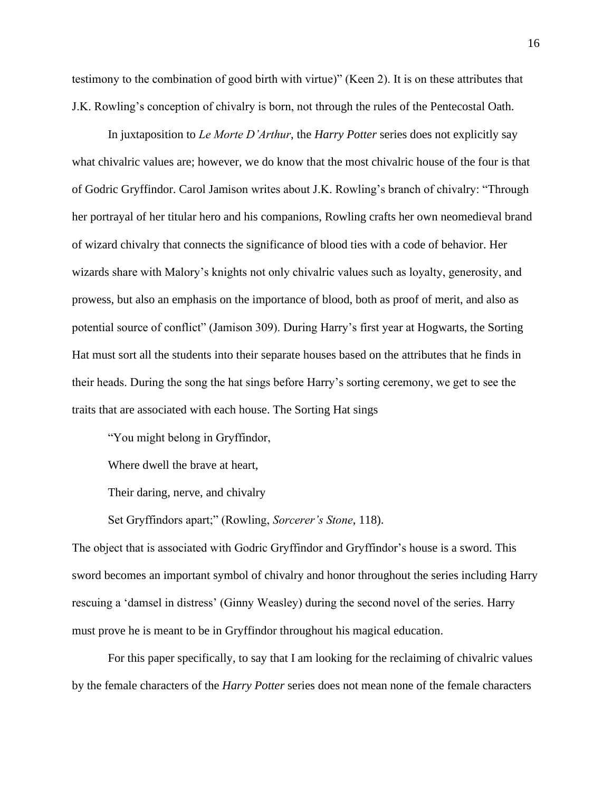testimony to the combination of good birth with virtue)" (Keen 2). It is on these attributes that J.K. Rowling's conception of chivalry is born, not through the rules of the Pentecostal Oath.

In juxtaposition to *Le Morte D'Arthur*, the *Harry Potter* series does not explicitly say what chivalric values are; however, we do know that the most chivalric house of the four is that of Godric Gryffindor. Carol Jamison writes about J.K. Rowling's branch of chivalry: "Through her portrayal of her titular hero and his companions, Rowling crafts her own neomedieval brand of wizard chivalry that connects the significance of blood ties with a code of behavior. Her wizards share with Malory's knights not only chivalric values such as loyalty, generosity, and prowess, but also an emphasis on the importance of blood, both as proof of merit, and also as potential source of conflict" (Jamison 309). During Harry's first year at Hogwarts, the Sorting Hat must sort all the students into their separate houses based on the attributes that he finds in their heads. During the song the hat sings before Harry's sorting ceremony, we get to see the traits that are associated with each house. The Sorting Hat sings

"You might belong in Gryffindor,

Where dwell the brave at heart,

Their daring, nerve, and chivalry

Set Gryffindors apart;" (Rowling, *Sorcerer's Stone*, 118).

The object that is associated with Godric Gryffindor and Gryffindor's house is a sword. This sword becomes an important symbol of chivalry and honor throughout the series including Harry rescuing a 'damsel in distress' (Ginny Weasley) during the second novel of the series. Harry must prove he is meant to be in Gryffindor throughout his magical education.

For this paper specifically, to say that I am looking for the reclaiming of chivalric values by the female characters of the *Harry Potter* series does not mean none of the female characters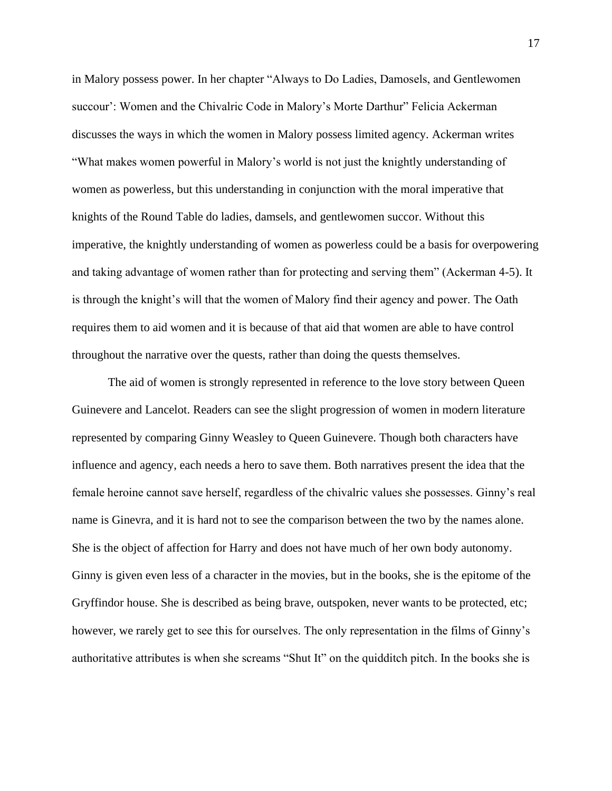in Malory possess power. In her chapter "Always to Do Ladies, Damosels, and Gentlewomen succour': Women and the Chivalric Code in Malory's Morte Darthur" Felicia Ackerman discusses the ways in which the women in Malory possess limited agency. Ackerman writes "What makes women powerful in Malory's world is not just the knightly understanding of women as powerless, but this understanding in conjunction with the moral imperative that knights of the Round Table do ladies, damsels, and gentlewomen succor. Without this imperative, the knightly understanding of women as powerless could be a basis for overpowering and taking advantage of women rather than for protecting and serving them" (Ackerman 4-5). It is through the knight's will that the women of Malory find their agency and power. The Oath requires them to aid women and it is because of that aid that women are able to have control throughout the narrative over the quests, rather than doing the quests themselves.

The aid of women is strongly represented in reference to the love story between Queen Guinevere and Lancelot. Readers can see the slight progression of women in modern literature represented by comparing Ginny Weasley to Queen Guinevere. Though both characters have influence and agency, each needs a hero to save them. Both narratives present the idea that the female heroine cannot save herself, regardless of the chivalric values she possesses. Ginny's real name is Ginevra, and it is hard not to see the comparison between the two by the names alone. She is the object of affection for Harry and does not have much of her own body autonomy. Ginny is given even less of a character in the movies, but in the books, she is the epitome of the Gryffindor house. She is described as being brave, outspoken, never wants to be protected, etc; however, we rarely get to see this for ourselves. The only representation in the films of Ginny's authoritative attributes is when she screams "Shut It" on the quidditch pitch. In the books she is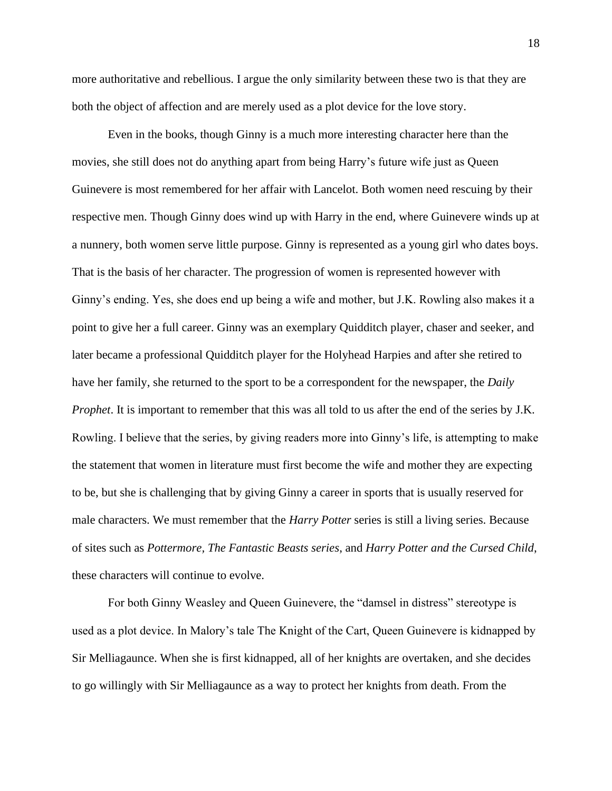more authoritative and rebellious. I argue the only similarity between these two is that they are both the object of affection and are merely used as a plot device for the love story.

Even in the books, though Ginny is a much more interesting character here than the movies, she still does not do anything apart from being Harry's future wife just as Queen Guinevere is most remembered for her affair with Lancelot. Both women need rescuing by their respective men. Though Ginny does wind up with Harry in the end, where Guinevere winds up at a nunnery, both women serve little purpose. Ginny is represented as a young girl who dates boys. That is the basis of her character. The progression of women is represented however with Ginny's ending. Yes, she does end up being a wife and mother, but J.K. Rowling also makes it a point to give her a full career. Ginny was an exemplary Quidditch player, chaser and seeker, and later became a professional Quidditch player for the Holyhead Harpies and after she retired to have her family, she returned to the sport to be a correspondent for the newspaper, the *Daily Prophet*. It is important to remember that this was all told to us after the end of the series by J.K. Rowling. I believe that the series, by giving readers more into Ginny's life, is attempting to make the statement that women in literature must first become the wife and mother they are expecting to be, but she is challenging that by giving Ginny a career in sports that is usually reserved for male characters. We must remember that the *Harry Potter* series is still a living series. Because of sites such as *Pottermore, The Fantastic Beasts series*, and *Harry Potter and the Cursed Child*, these characters will continue to evolve.

For both Ginny Weasley and Queen Guinevere, the "damsel in distress" stereotype is used as a plot device. In Malory's tale The Knight of the Cart, Queen Guinevere is kidnapped by Sir Melliagaunce. When she is first kidnapped, all of her knights are overtaken, and she decides to go willingly with Sir Melliagaunce as a way to protect her knights from death. From the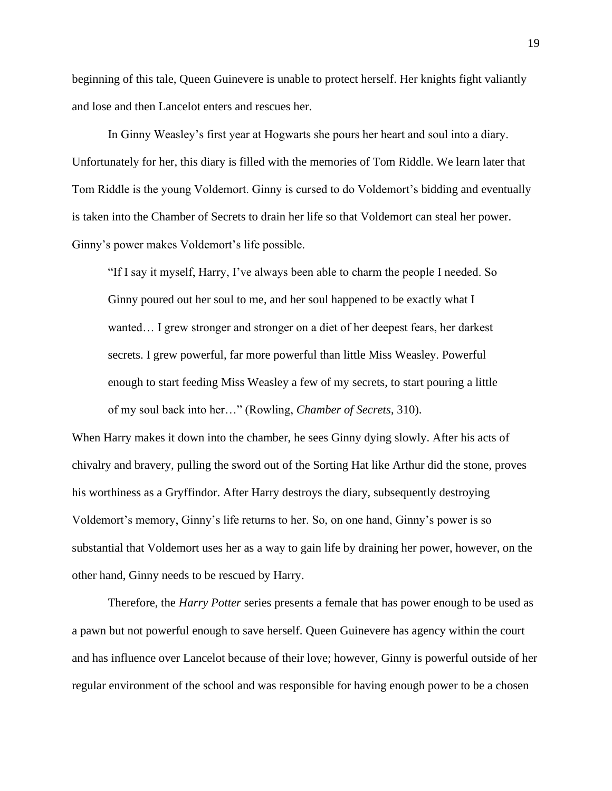beginning of this tale, Queen Guinevere is unable to protect herself. Her knights fight valiantly and lose and then Lancelot enters and rescues her.

In Ginny Weasley's first year at Hogwarts she pours her heart and soul into a diary. Unfortunately for her, this diary is filled with the memories of Tom Riddle. We learn later that Tom Riddle is the young Voldemort. Ginny is cursed to do Voldemort's bidding and eventually is taken into the Chamber of Secrets to drain her life so that Voldemort can steal her power. Ginny's power makes Voldemort's life possible.

"If I say it myself, Harry, I've always been able to charm the people I needed. So Ginny poured out her soul to me, and her soul happened to be exactly what I wanted… I grew stronger and stronger on a diet of her deepest fears, her darkest secrets. I grew powerful, far more powerful than little Miss Weasley. Powerful enough to start feeding Miss Weasley a few of my secrets, to start pouring a little of my soul back into her…" (Rowling, *Chamber of Secrets*, 310).

When Harry makes it down into the chamber, he sees Ginny dying slowly. After his acts of chivalry and bravery, pulling the sword out of the Sorting Hat like Arthur did the stone, proves his worthiness as a Gryffindor. After Harry destroys the diary, subsequently destroying Voldemort's memory, Ginny's life returns to her. So, on one hand, Ginny's power is so substantial that Voldemort uses her as a way to gain life by draining her power, however, on the other hand, Ginny needs to be rescued by Harry.

Therefore, the *Harry Potter* series presents a female that has power enough to be used as a pawn but not powerful enough to save herself. Queen Guinevere has agency within the court and has influence over Lancelot because of their love; however, Ginny is powerful outside of her regular environment of the school and was responsible for having enough power to be a chosen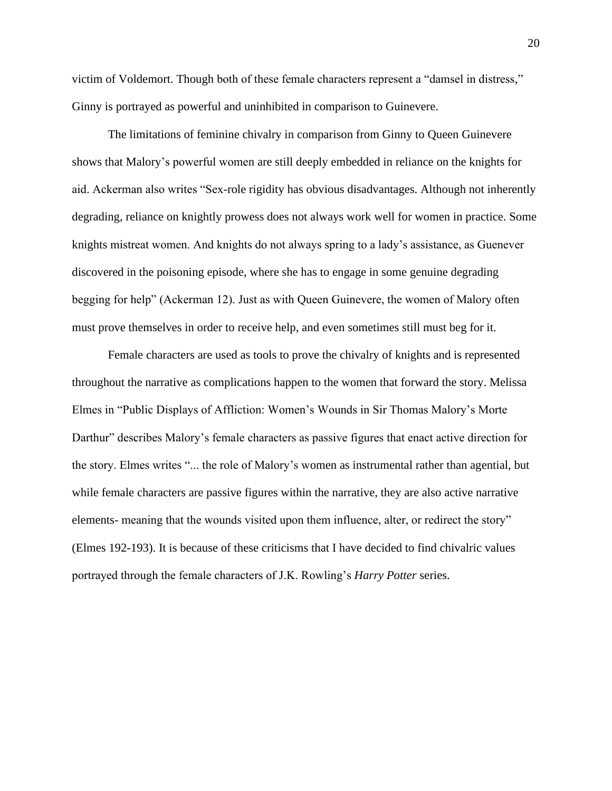victim of Voldemort. Though both of these female characters represent a "damsel in distress," Ginny is portrayed as powerful and uninhibited in comparison to Guinevere.

The limitations of feminine chivalry in comparison from Ginny to Queen Guinevere shows that Malory's powerful women are still deeply embedded in reliance on the knights for aid. Ackerman also writes "Sex-role rigidity has obvious disadvantages. Although not inherently degrading, reliance on knightly prowess does not always work well for women in practice. Some knights mistreat women. And knights do not always spring to a lady's assistance, as Guenever discovered in the poisoning episode, where she has to engage in some genuine degrading begging for help" (Ackerman 12). Just as with Queen Guinevere, the women of Malory often must prove themselves in order to receive help, and even sometimes still must beg for it.

Female characters are used as tools to prove the chivalry of knights and is represented throughout the narrative as complications happen to the women that forward the story. Melissa Elmes in "Public Displays of Affliction: Women's Wounds in Sir Thomas Malory's Morte Darthur" describes Malory's female characters as passive figures that enact active direction for the story. Elmes writes "... the role of Malory's women as instrumental rather than agential, but while female characters are passive figures within the narrative, they are also active narrative elements- meaning that the wounds visited upon them influence, alter, or redirect the story" (Elmes 192-193). It is because of these criticisms that I have decided to find chivalric values portrayed through the female characters of J.K. Rowling's *Harry Potter* series.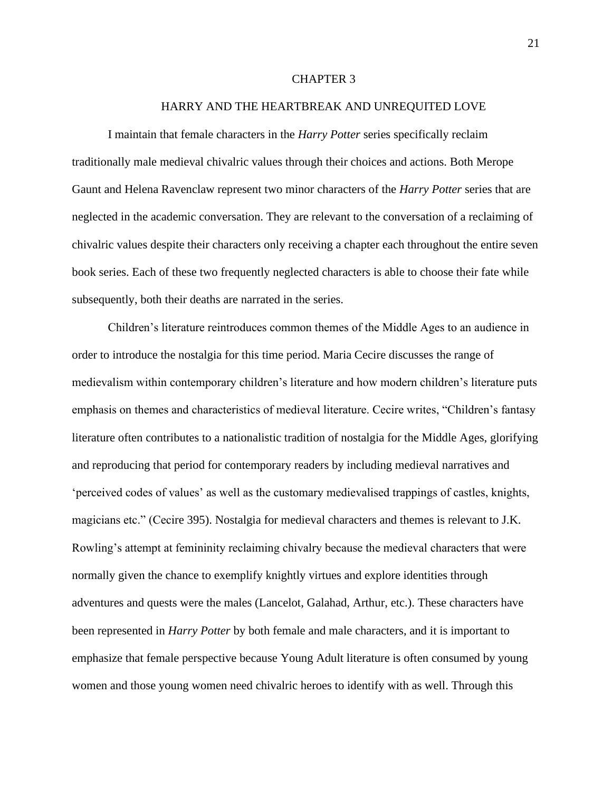### CHAPTER 3

### HARRY AND THE HEARTBREAK AND UNREQUITED LOVE

I maintain that female characters in the *Harry Potter* series specifically reclaim traditionally male medieval chivalric values through their choices and actions. Both Merope Gaunt and Helena Ravenclaw represent two minor characters of the *Harry Potter* series that are neglected in the academic conversation. They are relevant to the conversation of a reclaiming of chivalric values despite their characters only receiving a chapter each throughout the entire seven book series. Each of these two frequently neglected characters is able to choose their fate while subsequently, both their deaths are narrated in the series.

Children's literature reintroduces common themes of the Middle Ages to an audience in order to introduce the nostalgia for this time period. Maria Cecire discusses the range of medievalism within contemporary children's literature and how modern children's literature puts emphasis on themes and characteristics of medieval literature. Cecire writes, "Children's fantasy literature often contributes to a nationalistic tradition of nostalgia for the Middle Ages, glorifying and reproducing that period for contemporary readers by including medieval narratives and 'perceived codes of values' as well as the customary medievalised trappings of castles, knights, magicians etc." (Cecire 395). Nostalgia for medieval characters and themes is relevant to J.K. Rowling's attempt at femininity reclaiming chivalry because the medieval characters that were normally given the chance to exemplify knightly virtues and explore identities through adventures and quests were the males (Lancelot, Galahad, Arthur, etc.). These characters have been represented in *Harry Potter* by both female and male characters, and it is important to emphasize that female perspective because Young Adult literature is often consumed by young women and those young women need chivalric heroes to identify with as well. Through this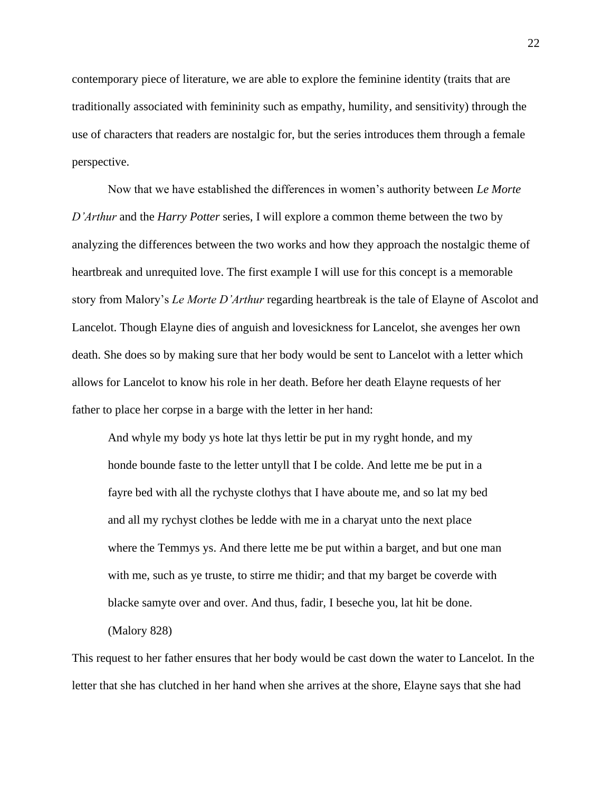contemporary piece of literature, we are able to explore the feminine identity (traits that are traditionally associated with femininity such as empathy, humility, and sensitivity) through the use of characters that readers are nostalgic for, but the series introduces them through a female perspective.

Now that we have established the differences in women's authority between *Le Morte D'Arthur* and the *Harry Potter* series, I will explore a common theme between the two by analyzing the differences between the two works and how they approach the nostalgic theme of heartbreak and unrequited love. The first example I will use for this concept is a memorable story from Malory's *Le Morte D'Arthur* regarding heartbreak is the tale of Elayne of Ascolot and Lancelot. Though Elayne dies of anguish and lovesickness for Lancelot, she avenges her own death. She does so by making sure that her body would be sent to Lancelot with a letter which allows for Lancelot to know his role in her death. Before her death Elayne requests of her father to place her corpse in a barge with the letter in her hand:

And whyle my body ys hote lat thys lettir be put in my ryght honde, and my honde bounde faste to the letter untyll that I be colde. And lette me be put in a fayre bed with all the rychyste clothys that I have aboute me, and so lat my bed and all my rychyst clothes be ledde with me in a charyat unto the next place where the Temmys ys. And there lette me be put within a barget, and but one man with me, such as ye truste, to stirre me thidir; and that my barget be coverde with blacke samyte over and over. And thus, fadir, I beseche you, lat hit be done. (Malory 828)

This request to her father ensures that her body would be cast down the water to Lancelot. In the letter that she has clutched in her hand when she arrives at the shore, Elayne says that she had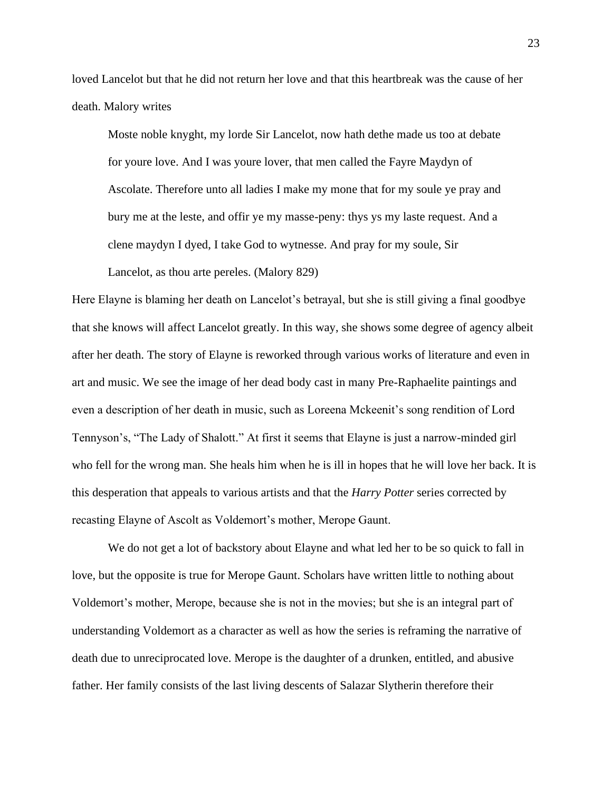loved Lancelot but that he did not return her love and that this heartbreak was the cause of her death. Malory writes

Moste noble knyght, my lorde Sir Lancelot, now hath dethe made us too at debate for youre love. And I was youre lover, that men called the Fayre Maydyn of Ascolate. Therefore unto all ladies I make my mone that for my soule ye pray and bury me at the leste, and offir ye my masse-peny: thys ys my laste request. And a clene maydyn I dyed, I take God to wytnesse. And pray for my soule, Sir

Lancelot, as thou arte pereles. (Malory 829)

Here Elayne is blaming her death on Lancelot's betrayal, but she is still giving a final goodbye that she knows will affect Lancelot greatly. In this way, she shows some degree of agency albeit after her death. The story of Elayne is reworked through various works of literature and even in art and music. We see the image of her dead body cast in many Pre-Raphaelite paintings and even a description of her death in music, such as Loreena Mckeenit's song rendition of Lord Tennyson's, "The Lady of Shalott." At first it seems that Elayne is just a narrow-minded girl who fell for the wrong man. She heals him when he is ill in hopes that he will love her back. It is this desperation that appeals to various artists and that the *Harry Potter* series corrected by recasting Elayne of Ascolt as Voldemort's mother, Merope Gaunt.

We do not get a lot of backstory about Elayne and what led her to be so quick to fall in love, but the opposite is true for Merope Gaunt. Scholars have written little to nothing about Voldemort's mother, Merope, because she is not in the movies; but she is an integral part of understanding Voldemort as a character as well as how the series is reframing the narrative of death due to unreciprocated love. Merope is the daughter of a drunken, entitled, and abusive father. Her family consists of the last living descents of Salazar Slytherin therefore their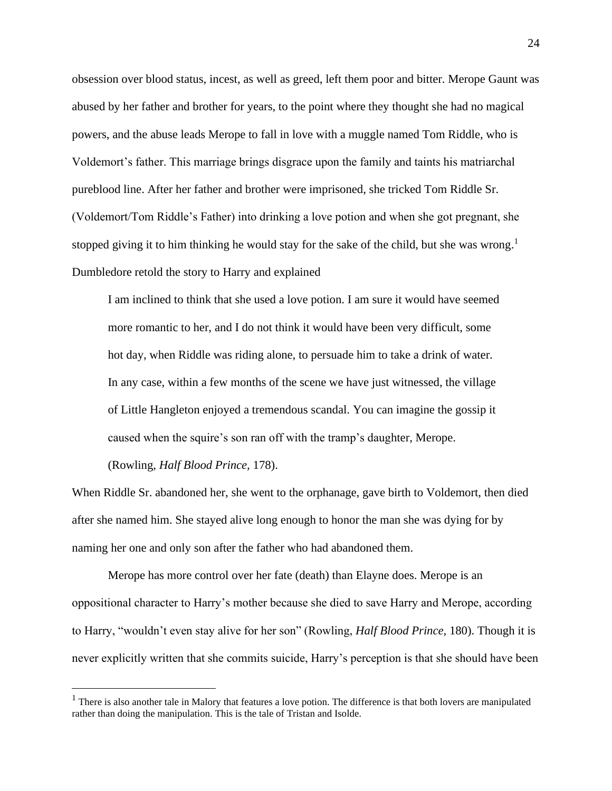obsession over blood status, incest, as well as greed, left them poor and bitter. Merope Gaunt was abused by her father and brother for years, to the point where they thought she had no magical powers, and the abuse leads Merope to fall in love with a muggle named Tom Riddle, who is Voldemort's father. This marriage brings disgrace upon the family and taints his matriarchal pureblood line. After her father and brother were imprisoned, she tricked Tom Riddle Sr. (Voldemort/Tom Riddle's Father) into drinking a love potion and when she got pregnant, she stopped giving it to him thinking he would stay for the sake of the child, but she was wrong.<sup>1</sup> Dumbledore retold the story to Harry and explained

I am inclined to think that she used a love potion. I am sure it would have seemed more romantic to her, and I do not think it would have been very difficult, some hot day, when Riddle was riding alone, to persuade him to take a drink of water. In any case, within a few months of the scene we have just witnessed, the village of Little Hangleton enjoyed a tremendous scandal. You can imagine the gossip it caused when the squire's son ran off with the tramp's daughter, Merope.

(Rowling, *Half Blood Prince,* 178).

When Riddle Sr. abandoned her, she went to the orphanage, gave birth to Voldemort, then died after she named him. She stayed alive long enough to honor the man she was dying for by naming her one and only son after the father who had abandoned them.

Merope has more control over her fate (death) than Elayne does. Merope is an oppositional character to Harry's mother because she died to save Harry and Merope, according to Harry, "wouldn't even stay alive for her son" (Rowling, *Half Blood Prince,* 180). Though it is never explicitly written that she commits suicide, Harry's perception is that she should have been

 $<sup>1</sup>$  There is also another tale in Malory that features a love potion. The difference is that both lovers are manipulated</sup> rather than doing the manipulation. This is the tale of Tristan and Isolde.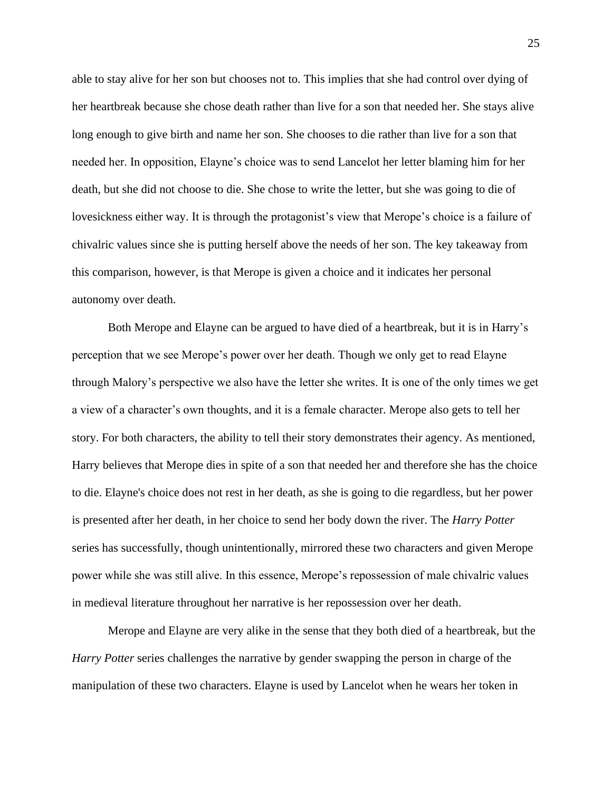able to stay alive for her son but chooses not to. This implies that she had control over dying of her heartbreak because she chose death rather than live for a son that needed her. She stays alive long enough to give birth and name her son. She chooses to die rather than live for a son that needed her. In opposition, Elayne's choice was to send Lancelot her letter blaming him for her death, but she did not choose to die. She chose to write the letter, but she was going to die of lovesickness either way. It is through the protagonist's view that Merope's choice is a failure of chivalric values since she is putting herself above the needs of her son. The key takeaway from this comparison, however, is that Merope is given a choice and it indicates her personal autonomy over death.

Both Merope and Elayne can be argued to have died of a heartbreak, but it is in Harry's perception that we see Merope's power over her death. Though we only get to read Elayne through Malory's perspective we also have the letter she writes. It is one of the only times we get a view of a character's own thoughts, and it is a female character. Merope also gets to tell her story. For both characters, the ability to tell their story demonstrates their agency. As mentioned, Harry believes that Merope dies in spite of a son that needed her and therefore she has the choice to die. Elayne's choice does not rest in her death, as she is going to die regardless, but her power is presented after her death, in her choice to send her body down the river. The *Harry Potter* series has successfully, though unintentionally, mirrored these two characters and given Merope power while she was still alive. In this essence, Merope's repossession of male chivalric values in medieval literature throughout her narrative is her repossession over her death.

Merope and Elayne are very alike in the sense that they both died of a heartbreak, but the *Harry Potter* series challenges the narrative by gender swapping the person in charge of the manipulation of these two characters. Elayne is used by Lancelot when he wears her token in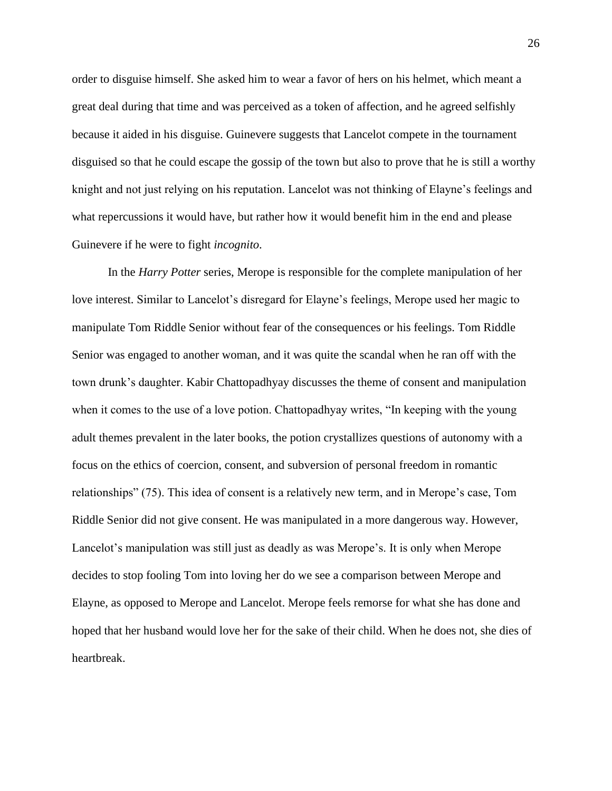order to disguise himself. She asked him to wear a favor of hers on his helmet, which meant a great deal during that time and was perceived as a token of affection, and he agreed selfishly because it aided in his disguise. Guinevere suggests that Lancelot compete in the tournament disguised so that he could escape the gossip of the town but also to prove that he is still a worthy knight and not just relying on his reputation. Lancelot was not thinking of Elayne's feelings and what repercussions it would have, but rather how it would benefit him in the end and please Guinevere if he were to fight *incognito*.

In the *Harry Potter* series, Merope is responsible for the complete manipulation of her love interest. Similar to Lancelot's disregard for Elayne's feelings, Merope used her magic to manipulate Tom Riddle Senior without fear of the consequences or his feelings. Tom Riddle Senior was engaged to another woman, and it was quite the scandal when he ran off with the town drunk's daughter. Kabir Chattopadhyay discusses the theme of consent and manipulation when it comes to the use of a love potion. Chattopadhyay writes, "In keeping with the young adult themes prevalent in the later books, the potion crystallizes questions of autonomy with a focus on the ethics of coercion, consent, and subversion of personal freedom in romantic relationships" (75). This idea of consent is a relatively new term, and in Merope's case, Tom Riddle Senior did not give consent. He was manipulated in a more dangerous way. However, Lancelot's manipulation was still just as deadly as was Merope's. It is only when Merope decides to stop fooling Tom into loving her do we see a comparison between Merope and Elayne, as opposed to Merope and Lancelot. Merope feels remorse for what she has done and hoped that her husband would love her for the sake of their child. When he does not, she dies of heartbreak.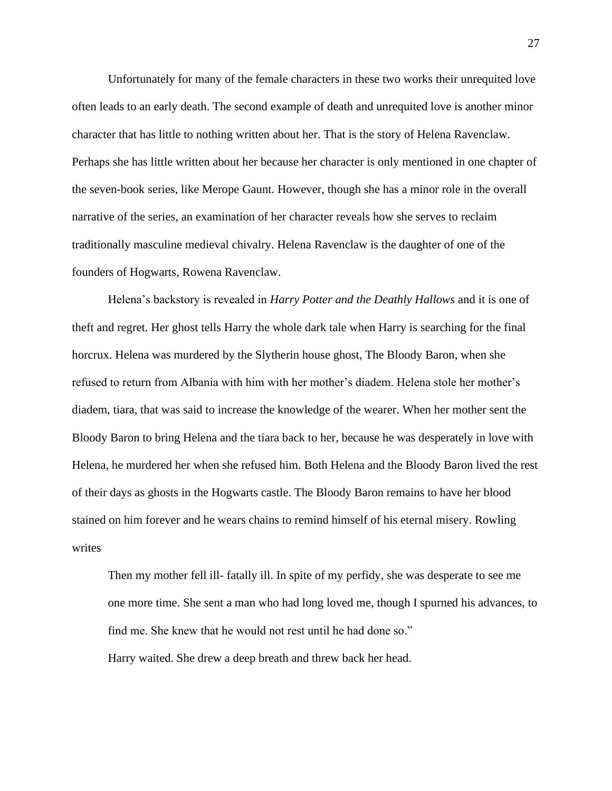Unfortunately for many of the female characters in these two works their unrequited love often leads to an early death. The second example of death and unrequited love is another minor character that has little to nothing written about her. That is the story of Helena Ravenclaw. Perhaps she has little written about her because her character is only mentioned in one chapter of the seven-book series, like Merope Gaunt. However, though she has a minor role in the overall narrative of the series, an examination of her character reveals how she serves to reclaim traditionally masculine medieval chivalry. Helena Ravenclaw is the daughter of one of the founders of Hogwarts, Rowena Ravenclaw.

Helena's backstory is revealed in *Harry Potter and the Deathly Hallows* and it is one of theft and regret. Her ghost tells Harry the whole dark tale when Harry is searching for the final horcrux. Helena was murdered by the Slytherin house ghost, The Bloody Baron, when she refused to return from Albania with him with her mother's diadem. Helena stole her mother's diadem, tiara, that was said to increase the knowledge of the wearer. When her mother sent the Bloody Baron to bring Helena and the tiara back to her, because he was desperately in love with Helena, he murdered her when she refused him. Both Helena and the Bloody Baron lived the rest of their days as ghosts in the Hogwarts castle. The Bloody Baron remains to have her blood stained on him forever and he wears chains to remind himself of his eternal misery. Rowling writes

Then my mother fell ill- fatally ill. In spite of my perfidy, she was desperate to see me one more time. She sent a man who had long loved me, though I spurned his advances, to find me. She knew that he would not rest until he had done so." Harry waited. She drew a deep breath and threw back her head.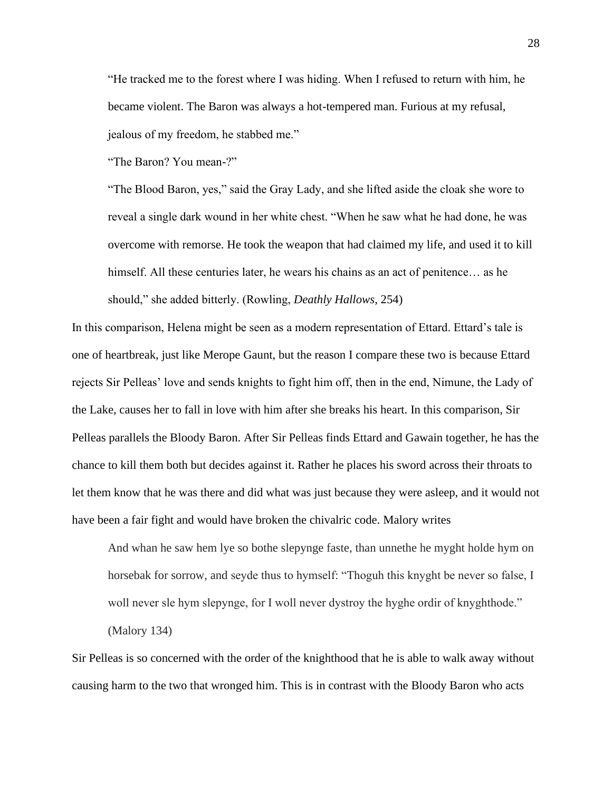"He tracked me to the forest where I was hiding. When I refused to return with him, he became violent. The Baron was always a hot-tempered man. Furious at my refusal, jealous of my freedom, he stabbed me."

"The Baron? You mean-?"

"The Blood Baron, yes," said the Gray Lady, and she lifted aside the cloak she wore to reveal a single dark wound in her white chest. "When he saw what he had done, he was overcome with remorse. He took the weapon that had claimed my life, and used it to kill himself. All these centuries later, he wears his chains as an act of penitence... as he should," she added bitterly. (Rowling, *Deathly Hallows*, 254)

In this comparison, Helena might be seen as a modern representation of Ettard. Ettard's tale is one of heartbreak, just like Merope Gaunt, but the reason I compare these two is because Ettard rejects Sir Pelleas' love and sends knights to fight him off, then in the end, Nimune, the Lady of the Lake, causes her to fall in love with him after she breaks his heart. In this comparison, Sir Pelleas parallels the Bloody Baron. After Sir Pelleas finds Ettard and Gawain together, he has the chance to kill them both but decides against it. Rather he places his sword across their throats to let them know that he was there and did what was just because they were asleep, and it would not have been a fair fight and would have broken the chivalric code. Malory writes

And whan he saw hem lye so bothe slepynge faste, than unnethe he myght holde hym on horsebak for sorrow, and seyde thus to hymself: "Thoguh this knyght be never so false, I woll never sle hym slepynge, for I woll never dystroy the hyghe ordir of knyghthode." (Malory 134)

Sir Pelleas is so concerned with the order of the knighthood that he is able to walk away without causing harm to the two that wronged him. This is in contrast with the Bloody Baron who acts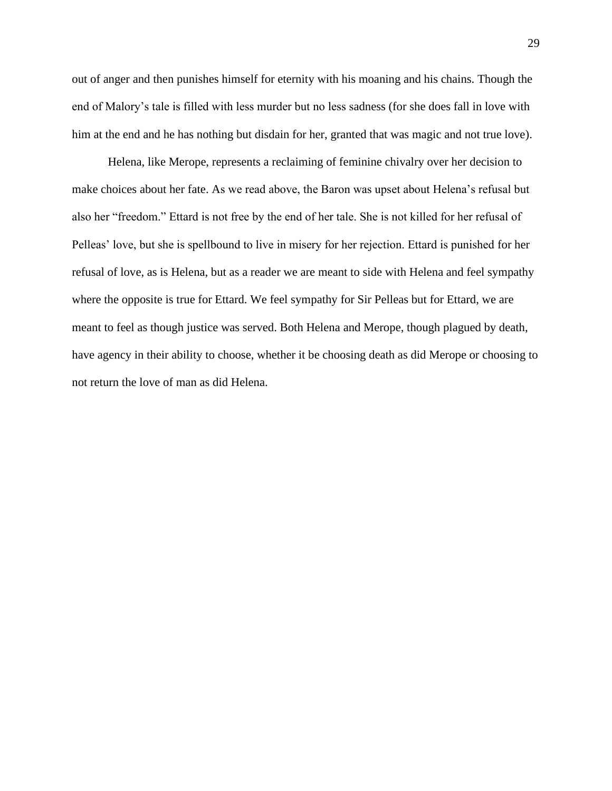out of anger and then punishes himself for eternity with his moaning and his chains. Though the end of Malory's tale is filled with less murder but no less sadness (for she does fall in love with him at the end and he has nothing but disdain for her, granted that was magic and not true love).

Helena, like Merope, represents a reclaiming of feminine chivalry over her decision to make choices about her fate. As we read above, the Baron was upset about Helena's refusal but also her "freedom." Ettard is not free by the end of her tale. She is not killed for her refusal of Pelleas' love, but she is spellbound to live in misery for her rejection. Ettard is punished for her refusal of love, as is Helena, but as a reader we are meant to side with Helena and feel sympathy where the opposite is true for Ettard. We feel sympathy for Sir Pelleas but for Ettard, we are meant to feel as though justice was served. Both Helena and Merope, though plagued by death, have agency in their ability to choose, whether it be choosing death as did Merope or choosing to not return the love of man as did Helena.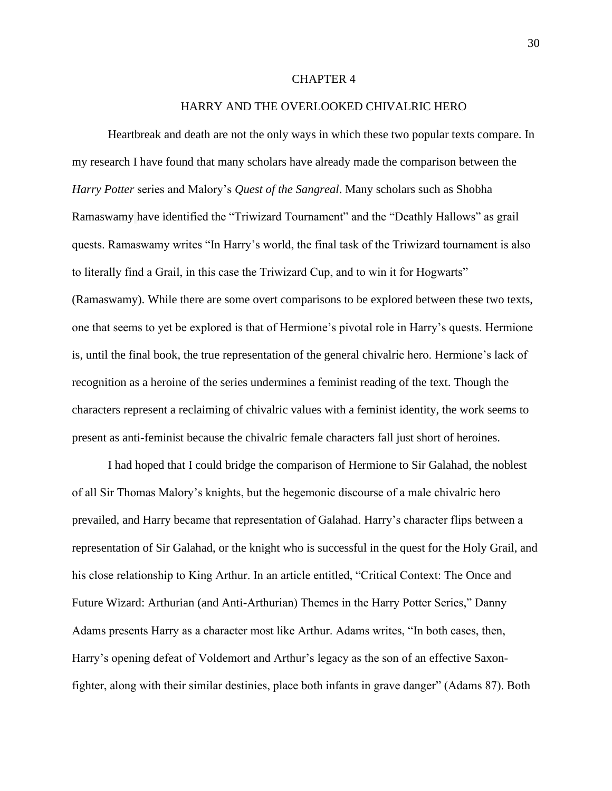### CHAPTER 4

### HARRY AND THE OVERLOOKED CHIVALRIC HERO

Heartbreak and death are not the only ways in which these two popular texts compare. In my research I have found that many scholars have already made the comparison between the *Harry Potter* series and Malory's *Quest of the Sangreal*. Many scholars such as Shobha Ramaswamy have identified the "Triwizard Tournament" and the "Deathly Hallows" as grail quests. Ramaswamy writes "In Harry's world, the final task of the Triwizard tournament is also to literally find a Grail, in this case the Triwizard Cup, and to win it for Hogwarts" (Ramaswamy). While there are some overt comparisons to be explored between these two texts, one that seems to yet be explored is that of Hermione's pivotal role in Harry's quests. Hermione is, until the final book, the true representation of the general chivalric hero. Hermione's lack of recognition as a heroine of the series undermines a feminist reading of the text. Though the characters represent a reclaiming of chivalric values with a feminist identity, the work seems to present as anti-feminist because the chivalric female characters fall just short of heroines.

I had hoped that I could bridge the comparison of Hermione to Sir Galahad, the noblest of all Sir Thomas Malory's knights, but the hegemonic discourse of a male chivalric hero prevailed, and Harry became that representation of Galahad. Harry's character flips between a representation of Sir Galahad, or the knight who is successful in the quest for the Holy Grail, and his close relationship to King Arthur. In an article entitled, "Critical Context: The Once and Future Wizard: Arthurian (and Anti-Arthurian) Themes in the Harry Potter Series," Danny Adams presents Harry as a character most like Arthur. Adams writes, "In both cases, then, Harry's opening defeat of Voldemort and Arthur's legacy as the son of an effective Saxonfighter, along with their similar destinies, place both infants in grave danger" (Adams 87). Both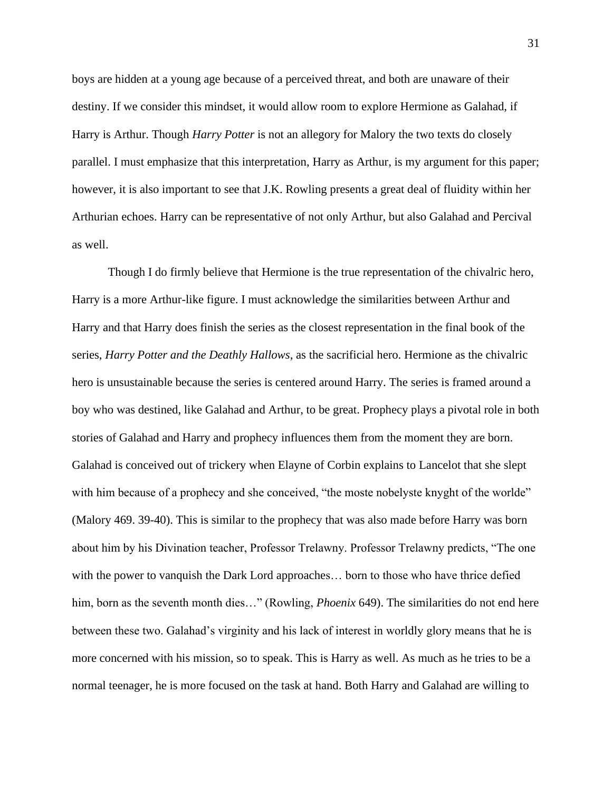boys are hidden at a young age because of a perceived threat, and both are unaware of their destiny. If we consider this mindset, it would allow room to explore Hermione as Galahad, if Harry is Arthur. Though *Harry Potter* is not an allegory for Malory the two texts do closely parallel. I must emphasize that this interpretation, Harry as Arthur, is my argument for this paper; however, it is also important to see that J.K. Rowling presents a great deal of fluidity within her Arthurian echoes. Harry can be representative of not only Arthur, but also Galahad and Percival as well.

Though I do firmly believe that Hermione is the true representation of the chivalric hero, Harry is a more Arthur-like figure. I must acknowledge the similarities between Arthur and Harry and that Harry does finish the series as the closest representation in the final book of the series, *Harry Potter and the Deathly Hallows*, as the sacrificial hero. Hermione as the chivalric hero is unsustainable because the series is centered around Harry. The series is framed around a boy who was destined, like Galahad and Arthur, to be great. Prophecy plays a pivotal role in both stories of Galahad and Harry and prophecy influences them from the moment they are born. Galahad is conceived out of trickery when Elayne of Corbin explains to Lancelot that she slept with him because of a prophecy and she conceived, "the moste nobelyste knyght of the worlde" (Malory 469. 39-40). This is similar to the prophecy that was also made before Harry was born about him by his Divination teacher, Professor Trelawny. Professor Trelawny predicts, "The one with the power to vanquish the Dark Lord approaches… born to those who have thrice defied him, born as the seventh month dies…" (Rowling, *Phoenix* 649). The similarities do not end here between these two. Galahad's virginity and his lack of interest in worldly glory means that he is more concerned with his mission, so to speak. This is Harry as well. As much as he tries to be a normal teenager, he is more focused on the task at hand. Both Harry and Galahad are willing to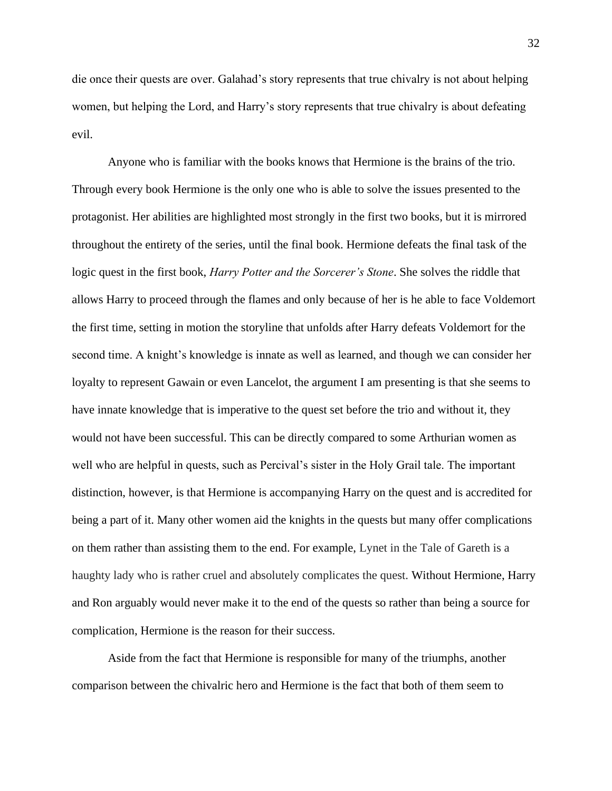die once their quests are over. Galahad's story represents that true chivalry is not about helping women, but helping the Lord, and Harry's story represents that true chivalry is about defeating evil.

Anyone who is familiar with the books knows that Hermione is the brains of the trio. Through every book Hermione is the only one who is able to solve the issues presented to the protagonist. Her abilities are highlighted most strongly in the first two books, but it is mirrored throughout the entirety of the series, until the final book. Hermione defeats the final task of the logic quest in the first book, *Harry Potter and the Sorcerer's Stone*. She solves the riddle that allows Harry to proceed through the flames and only because of her is he able to face Voldemort the first time, setting in motion the storyline that unfolds after Harry defeats Voldemort for the second time. A knight's knowledge is innate as well as learned, and though we can consider her loyalty to represent Gawain or even Lancelot, the argument I am presenting is that she seems to have innate knowledge that is imperative to the quest set before the trio and without it, they would not have been successful. This can be directly compared to some Arthurian women as well who are helpful in quests, such as Percival's sister in the Holy Grail tale. The important distinction, however, is that Hermione is accompanying Harry on the quest and is accredited for being a part of it. Many other women aid the knights in the quests but many offer complications on them rather than assisting them to the end. For example, Lynet in the Tale of Gareth is a haughty lady who is rather cruel and absolutely complicates the quest. Without Hermione, Harry and Ron arguably would never make it to the end of the quests so rather than being a source for complication, Hermione is the reason for their success.

Aside from the fact that Hermione is responsible for many of the triumphs, another comparison between the chivalric hero and Hermione is the fact that both of them seem to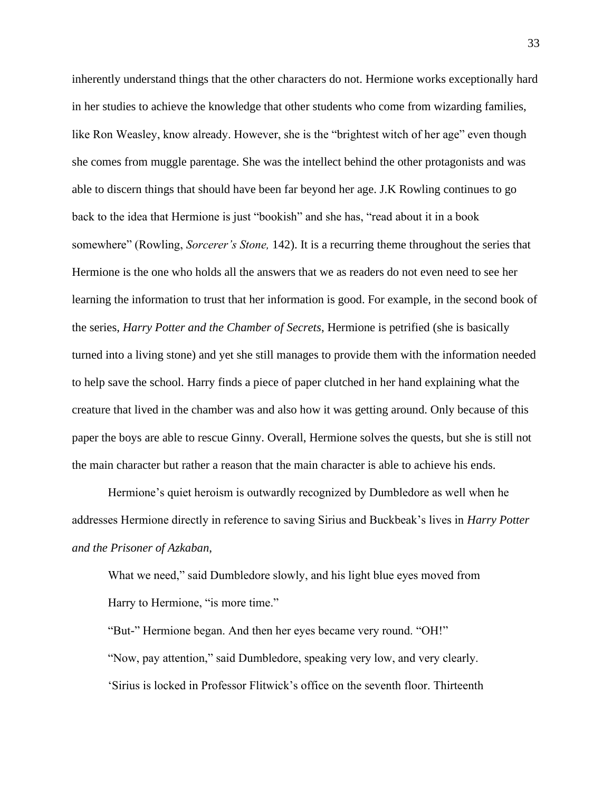inherently understand things that the other characters do not. Hermione works exceptionally hard in her studies to achieve the knowledge that other students who come from wizarding families, like Ron Weasley, know already. However, she is the "brightest witch of her age" even though she comes from muggle parentage. She was the intellect behind the other protagonists and was able to discern things that should have been far beyond her age. J.K Rowling continues to go back to the idea that Hermione is just "bookish" and she has, "read about it in a book somewhere" (Rowling, *Sorcerer's Stone,* 142). It is a recurring theme throughout the series that Hermione is the one who holds all the answers that we as readers do not even need to see her learning the information to trust that her information is good. For example, in the second book of the series, *Harry Potter and the Chamber of Secrets*, Hermione is petrified (she is basically turned into a living stone) and yet she still manages to provide them with the information needed to help save the school. Harry finds a piece of paper clutched in her hand explaining what the creature that lived in the chamber was and also how it was getting around. Only because of this paper the boys are able to rescue Ginny. Overall, Hermione solves the quests, but she is still not the main character but rather a reason that the main character is able to achieve his ends.

Hermione's quiet heroism is outwardly recognized by Dumbledore as well when he addresses Hermione directly in reference to saving Sirius and Buckbeak's lives in *Harry Potter and the Prisoner of Azkaban*,

What we need," said Dumbledore slowly, and his light blue eyes moved from Harry to Hermione, "is more time."

"But-" Hermione began. And then her eyes became very round. "OH!" "Now, pay attention," said Dumbledore, speaking very low, and very clearly. 'Sirius is locked in Professor Flitwick's office on the seventh floor. Thirteenth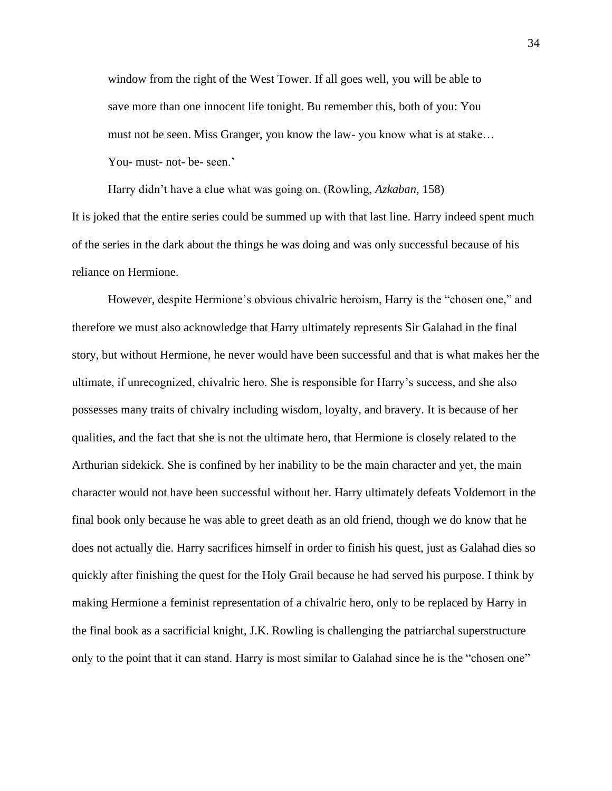window from the right of the West Tower. If all goes well, you will be able to save more than one innocent life tonight. Bu remember this, both of you: You must not be seen. Miss Granger, you know the law- you know what is at stake… You- must- not- be- seen.'

Harry didn't have a clue what was going on. (Rowling, *Azkaban*, 158) It is joked that the entire series could be summed up with that last line. Harry indeed spent much of the series in the dark about the things he was doing and was only successful because of his reliance on Hermione.

However, despite Hermione's obvious chivalric heroism, Harry is the "chosen one," and therefore we must also acknowledge that Harry ultimately represents Sir Galahad in the final story, but without Hermione, he never would have been successful and that is what makes her the ultimate, if unrecognized, chivalric hero. She is responsible for Harry's success, and she also possesses many traits of chivalry including wisdom, loyalty, and bravery. It is because of her qualities, and the fact that she is not the ultimate hero, that Hermione is closely related to the Arthurian sidekick. She is confined by her inability to be the main character and yet, the main character would not have been successful without her. Harry ultimately defeats Voldemort in the final book only because he was able to greet death as an old friend, though we do know that he does not actually die. Harry sacrifices himself in order to finish his quest, just as Galahad dies so quickly after finishing the quest for the Holy Grail because he had served his purpose. I think by making Hermione a feminist representation of a chivalric hero, only to be replaced by Harry in the final book as a sacrificial knight, J.K. Rowling is challenging the patriarchal superstructure only to the point that it can stand. Harry is most similar to Galahad since he is the "chosen one"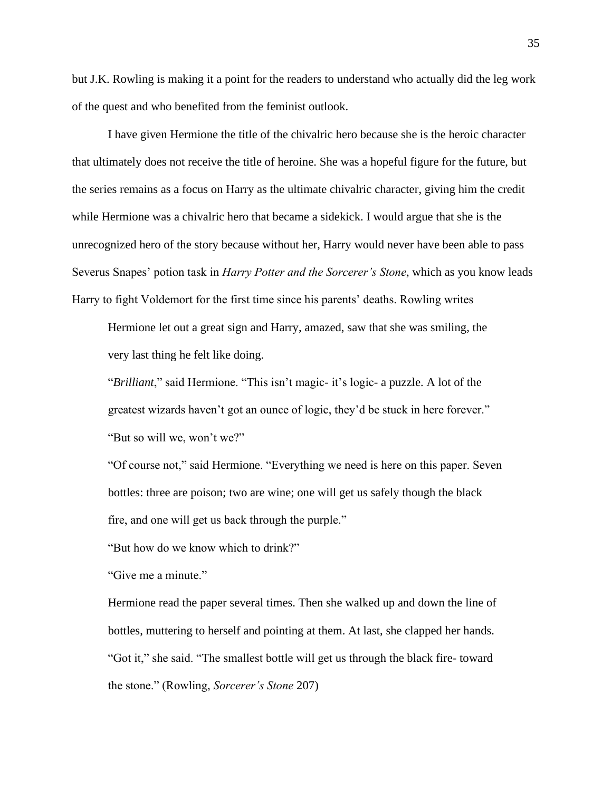but J.K. Rowling is making it a point for the readers to understand who actually did the leg work of the quest and who benefited from the feminist outlook.

I have given Hermione the title of the chivalric hero because she is the heroic character that ultimately does not receive the title of heroine. She was a hopeful figure for the future, but the series remains as a focus on Harry as the ultimate chivalric character, giving him the credit while Hermione was a chivalric hero that became a sidekick. I would argue that she is the unrecognized hero of the story because without her, Harry would never have been able to pass Severus Snapes' potion task in *Harry Potter and the Sorcerer's Stone*, which as you know leads Harry to fight Voldemort for the first time since his parents' deaths. Rowling writes

Hermione let out a great sign and Harry, amazed, saw that she was smiling, the very last thing he felt like doing.

"*Brilliant*," said Hermione. "This isn't magic- it's logic- a puzzle. A lot of the greatest wizards haven't got an ounce of logic, they'd be stuck in here forever." "But so will we, won't we?"

"Of course not," said Hermione. "Everything we need is here on this paper. Seven bottles: three are poison; two are wine; one will get us safely though the black fire, and one will get us back through the purple."

"But how do we know which to drink?"

"Give me a minute."

Hermione read the paper several times. Then she walked up and down the line of bottles, muttering to herself and pointing at them. At last, she clapped her hands. "Got it," she said. "The smallest bottle will get us through the black fire- toward the stone." (Rowling, *Sorcerer's Stone* 207)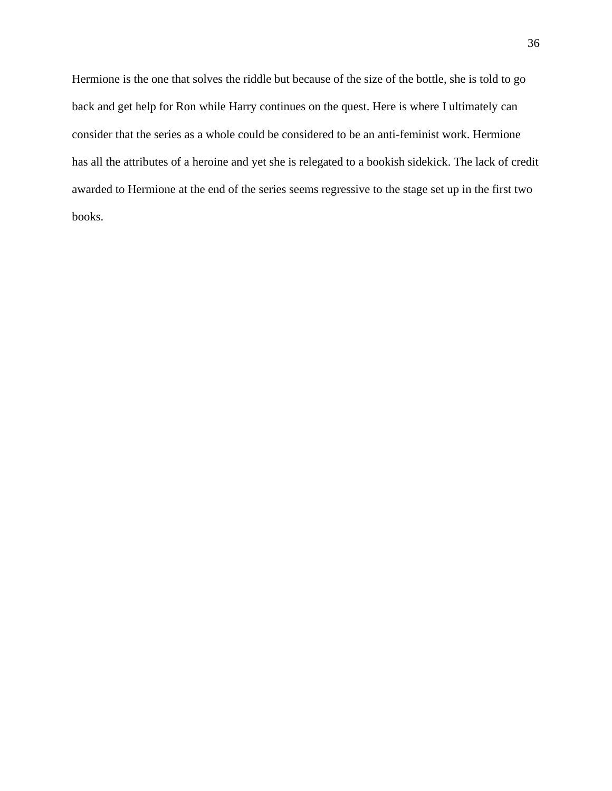Hermione is the one that solves the riddle but because of the size of the bottle, she is told to go back and get help for Ron while Harry continues on the quest. Here is where I ultimately can consider that the series as a whole could be considered to be an anti-feminist work. Hermione has all the attributes of a heroine and yet she is relegated to a bookish sidekick. The lack of credit awarded to Hermione at the end of the series seems regressive to the stage set up in the first two books.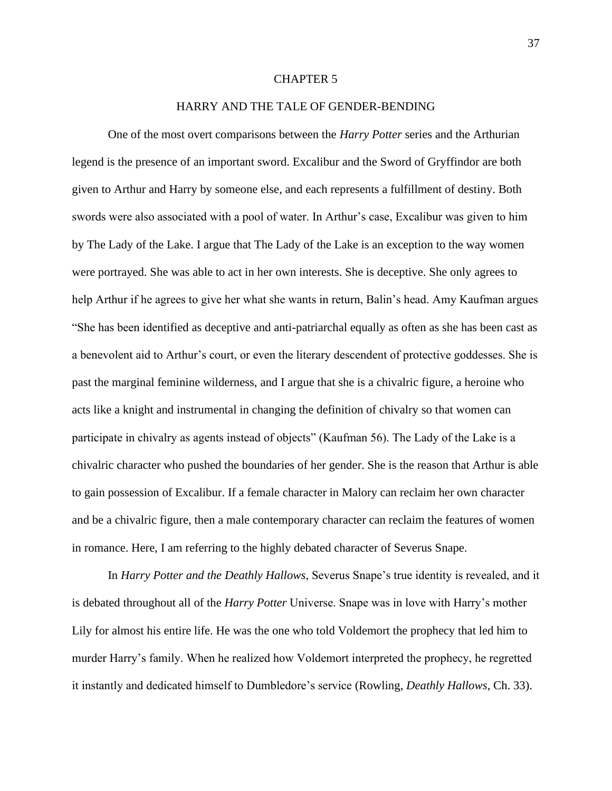### CHAPTER 5

## HARRY AND THE TALE OF GENDER-BENDING

One of the most overt comparisons between the *Harry Potter* series and the Arthurian legend is the presence of an important sword. Excalibur and the Sword of Gryffindor are both given to Arthur and Harry by someone else, and each represents a fulfillment of destiny. Both swords were also associated with a pool of water. In Arthur's case, Excalibur was given to him by The Lady of the Lake. I argue that The Lady of the Lake is an exception to the way women were portrayed. She was able to act in her own interests. She is deceptive. She only agrees to help Arthur if he agrees to give her what she wants in return, Balin's head. Amy Kaufman argues "She has been identified as deceptive and anti-patriarchal equally as often as she has been cast as a benevolent aid to Arthur's court, or even the literary descendent of protective goddesses. She is past the marginal feminine wilderness, and I argue that she is a chivalric figure, a heroine who acts like a knight and instrumental in changing the definition of chivalry so that women can participate in chivalry as agents instead of objects" (Kaufman 56). The Lady of the Lake is a chivalric character who pushed the boundaries of her gender. She is the reason that Arthur is able to gain possession of Excalibur. If a female character in Malory can reclaim her own character and be a chivalric figure, then a male contemporary character can reclaim the features of women in romance. Here, I am referring to the highly debated character of Severus Snape.

In *Harry Potter and the Deathly Hallows*, Severus Snape's true identity is revealed, and it is debated throughout all of the *Harry Potter* Universe. Snape was in love with Harry's mother Lily for almost his entire life. He was the one who told Voldemort the prophecy that led him to murder Harry's family. When he realized how Voldemort interpreted the prophecy, he regretted it instantly and dedicated himself to Dumbledore's service (Rowling, *Deathly Hallows*, Ch. 33).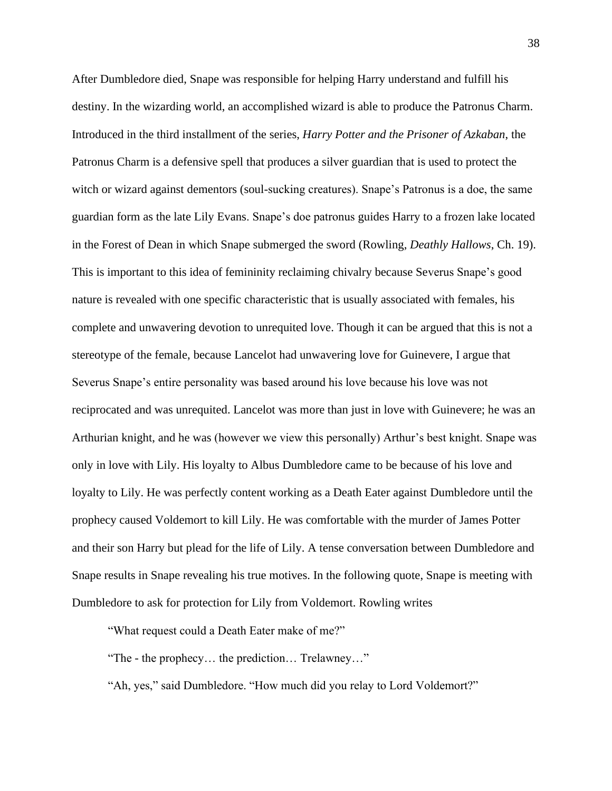After Dumbledore died, Snape was responsible for helping Harry understand and fulfill his destiny. In the wizarding world, an accomplished wizard is able to produce the Patronus Charm. Introduced in the third installment of the series, *Harry Potter and the Prisoner of Azkaban*, the Patronus Charm is a defensive spell that produces a silver guardian that is used to protect the witch or wizard against dementors (soul-sucking creatures). Snape's Patronus is a doe, the same guardian form as the late Lily Evans. Snape's doe patronus guides Harry to a frozen lake located in the Forest of Dean in which Snape submerged the sword (Rowling, *Deathly Hallows*, Ch. 19). This is important to this idea of femininity reclaiming chivalry because Severus Snape's good nature is revealed with one specific characteristic that is usually associated with females, his complete and unwavering devotion to unrequited love. Though it can be argued that this is not a stereotype of the female, because Lancelot had unwavering love for Guinevere, I argue that Severus Snape's entire personality was based around his love because his love was not reciprocated and was unrequited. Lancelot was more than just in love with Guinevere; he was an Arthurian knight, and he was (however we view this personally) Arthur's best knight. Snape was only in love with Lily. His loyalty to Albus Dumbledore came to be because of his love and loyalty to Lily. He was perfectly content working as a Death Eater against Dumbledore until the prophecy caused Voldemort to kill Lily. He was comfortable with the murder of James Potter and their son Harry but plead for the life of Lily. A tense conversation between Dumbledore and Snape results in Snape revealing his true motives. In the following quote, Snape is meeting with Dumbledore to ask for protection for Lily from Voldemort. Rowling writes

"What request could a Death Eater make of me?"

"The - the prophecy… the prediction… Trelawney…"

"Ah, yes," said Dumbledore. "How much did you relay to Lord Voldemort?"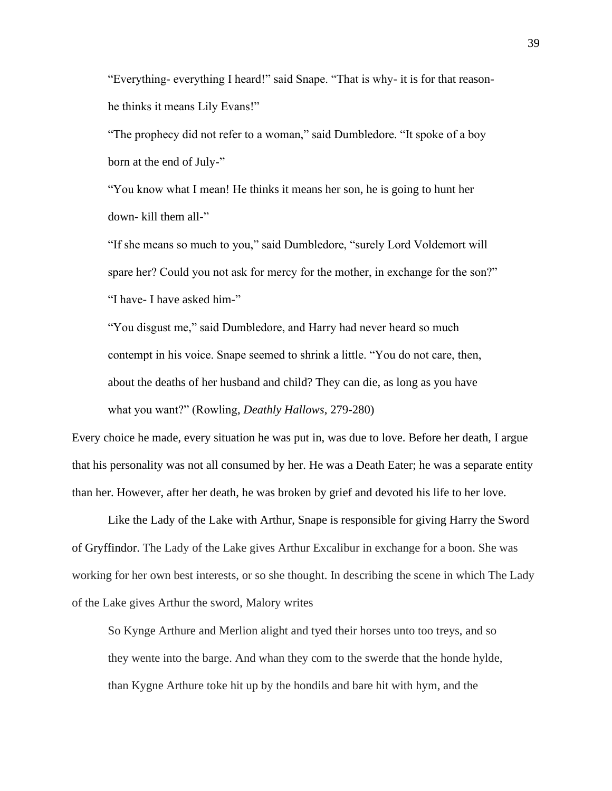"Everything- everything I heard!" said Snape. "That is why- it is for that reasonhe thinks it means Lily Evans!"

"The prophecy did not refer to a woman," said Dumbledore. "It spoke of a boy born at the end of July-"

"You know what I mean! He thinks it means her son, he is going to hunt her down- kill them all-"

"If she means so much to you," said Dumbledore, "surely Lord Voldemort will spare her? Could you not ask for mercy for the mother, in exchange for the son?" "I have- I have asked him-"

"You disgust me," said Dumbledore, and Harry had never heard so much contempt in his voice. Snape seemed to shrink a little. "You do not care, then, about the deaths of her husband and child? They can die, as long as you have what you want?" (Rowling, *Deathly Hallows*, 279-280)

Every choice he made, every situation he was put in, was due to love. Before her death, I argue that his personality was not all consumed by her. He was a Death Eater; he was a separate entity than her. However, after her death, he was broken by grief and devoted his life to her love.

Like the Lady of the Lake with Arthur, Snape is responsible for giving Harry the Sword of Gryffindor. The Lady of the Lake gives Arthur Excalibur in exchange for a boon. She was working for her own best interests, or so she thought. In describing the scene in which The Lady of the Lake gives Arthur the sword, Malory writes

So Kynge Arthure and Merlion alight and tyed their horses unto too treys, and so they wente into the barge. And whan they com to the swerde that the honde hylde, than Kygne Arthure toke hit up by the hondils and bare hit with hym, and the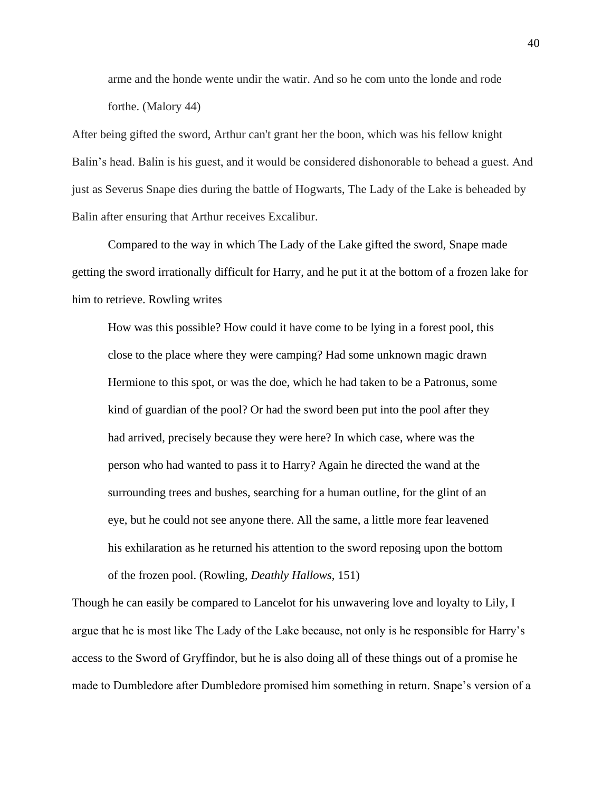arme and the honde wente undir the watir. And so he com unto the londe and rode forthe. (Malory 44)

After being gifted the sword, Arthur can't grant her the boon, which was his fellow knight Balin's head. Balin is his guest, and it would be considered dishonorable to behead a guest. And just as Severus Snape dies during the battle of Hogwarts, The Lady of the Lake is beheaded by Balin after ensuring that Arthur receives Excalibur.

Compared to the way in which The Lady of the Lake gifted the sword, Snape made getting the sword irrationally difficult for Harry, and he put it at the bottom of a frozen lake for him to retrieve. Rowling writes

How was this possible? How could it have come to be lying in a forest pool, this close to the place where they were camping? Had some unknown magic drawn Hermione to this spot, or was the doe, which he had taken to be a Patronus, some kind of guardian of the pool? Or had the sword been put into the pool after they had arrived, precisely because they were here? In which case, where was the person who had wanted to pass it to Harry? Again he directed the wand at the surrounding trees and bushes, searching for a human outline, for the glint of an eye, but he could not see anyone there. All the same, a little more fear leavened his exhilaration as he returned his attention to the sword reposing upon the bottom of the frozen pool. (Rowling, *Deathly Hallows,* 151)

Though he can easily be compared to Lancelot for his unwavering love and loyalty to Lily, I argue that he is most like The Lady of the Lake because, not only is he responsible for Harry's access to the Sword of Gryffindor, but he is also doing all of these things out of a promise he made to Dumbledore after Dumbledore promised him something in return. Snape's version of a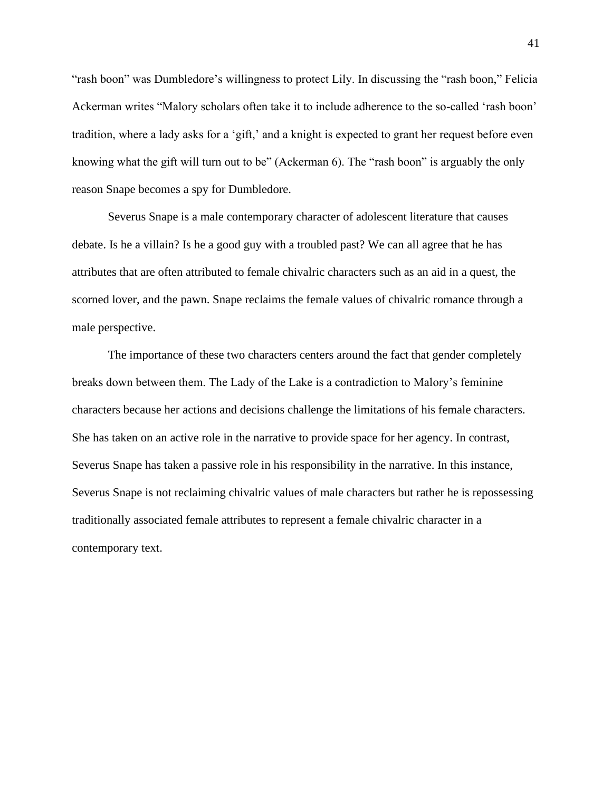"rash boon" was Dumbledore's willingness to protect Lily. In discussing the "rash boon," Felicia Ackerman writes "Malory scholars often take it to include adherence to the so-called 'rash boon' tradition, where a lady asks for a 'gift,' and a knight is expected to grant her request before even knowing what the gift will turn out to be" (Ackerman 6). The "rash boon" is arguably the only reason Snape becomes a spy for Dumbledore.

Severus Snape is a male contemporary character of adolescent literature that causes debate. Is he a villain? Is he a good guy with a troubled past? We can all agree that he has attributes that are often attributed to female chivalric characters such as an aid in a quest, the scorned lover, and the pawn. Snape reclaims the female values of chivalric romance through a male perspective.

The importance of these two characters centers around the fact that gender completely breaks down between them. The Lady of the Lake is a contradiction to Malory's feminine characters because her actions and decisions challenge the limitations of his female characters. She has taken on an active role in the narrative to provide space for her agency. In contrast, Severus Snape has taken a passive role in his responsibility in the narrative. In this instance, Severus Snape is not reclaiming chivalric values of male characters but rather he is repossessing traditionally associated female attributes to represent a female chivalric character in a contemporary text.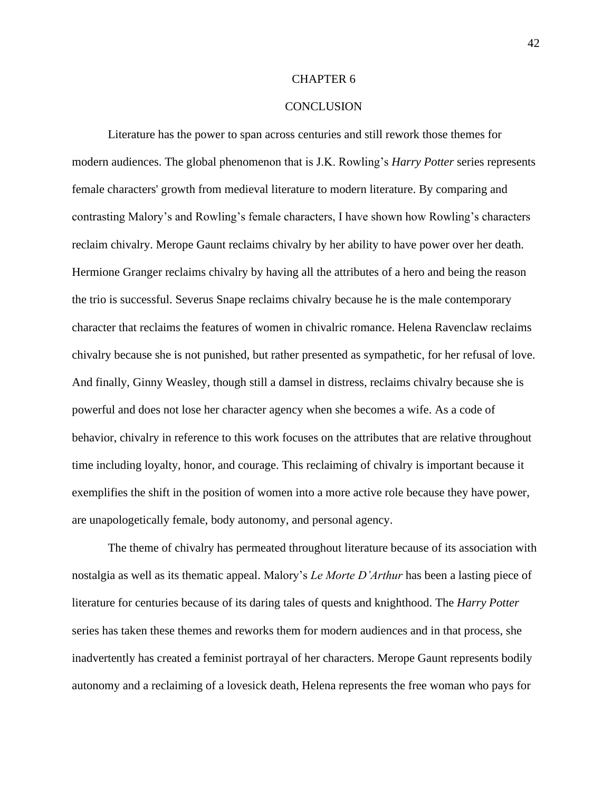### CHAPTER 6

### **CONCLUSION**

Literature has the power to span across centuries and still rework those themes for modern audiences. The global phenomenon that is J.K. Rowling's *Harry Potter* series represents female characters' growth from medieval literature to modern literature. By comparing and contrasting Malory's and Rowling's female characters, I have shown how Rowling's characters reclaim chivalry. Merope Gaunt reclaims chivalry by her ability to have power over her death. Hermione Granger reclaims chivalry by having all the attributes of a hero and being the reason the trio is successful. Severus Snape reclaims chivalry because he is the male contemporary character that reclaims the features of women in chivalric romance. Helena Ravenclaw reclaims chivalry because she is not punished, but rather presented as sympathetic, for her refusal of love. And finally, Ginny Weasley, though still a damsel in distress, reclaims chivalry because she is powerful and does not lose her character agency when she becomes a wife. As a code of behavior, chivalry in reference to this work focuses on the attributes that are relative throughout time including loyalty, honor, and courage. This reclaiming of chivalry is important because it exemplifies the shift in the position of women into a more active role because they have power, are unapologetically female, body autonomy, and personal agency.

The theme of chivalry has permeated throughout literature because of its association with nostalgia as well as its thematic appeal. Malory's *Le Morte D'Arthur* has been a lasting piece of literature for centuries because of its daring tales of quests and knighthood. The *Harry Potter* series has taken these themes and reworks them for modern audiences and in that process, she inadvertently has created a feminist portrayal of her characters. Merope Gaunt represents bodily autonomy and a reclaiming of a lovesick death, Helena represents the free woman who pays for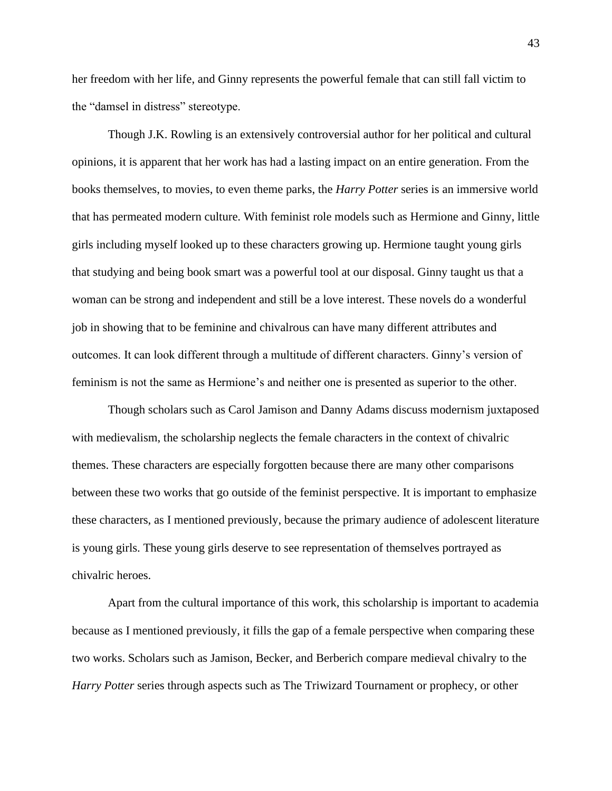her freedom with her life, and Ginny represents the powerful female that can still fall victim to the "damsel in distress" stereotype.

Though J.K. Rowling is an extensively controversial author for her political and cultural opinions, it is apparent that her work has had a lasting impact on an entire generation. From the books themselves, to movies, to even theme parks, the *Harry Potter* series is an immersive world that has permeated modern culture. With feminist role models such as Hermione and Ginny, little girls including myself looked up to these characters growing up. Hermione taught young girls that studying and being book smart was a powerful tool at our disposal. Ginny taught us that a woman can be strong and independent and still be a love interest. These novels do a wonderful job in showing that to be feminine and chivalrous can have many different attributes and outcomes. It can look different through a multitude of different characters. Ginny's version of feminism is not the same as Hermione's and neither one is presented as superior to the other.

Though scholars such as Carol Jamison and Danny Adams discuss modernism juxtaposed with medievalism, the scholarship neglects the female characters in the context of chivalric themes. These characters are especially forgotten because there are many other comparisons between these two works that go outside of the feminist perspective. It is important to emphasize these characters, as I mentioned previously, because the primary audience of adolescent literature is young girls. These young girls deserve to see representation of themselves portrayed as chivalric heroes.

Apart from the cultural importance of this work, this scholarship is important to academia because as I mentioned previously, it fills the gap of a female perspective when comparing these two works. Scholars such as Jamison, Becker, and Berberich compare medieval chivalry to the *Harry Potter* series through aspects such as The Triwizard Tournament or prophecy, or other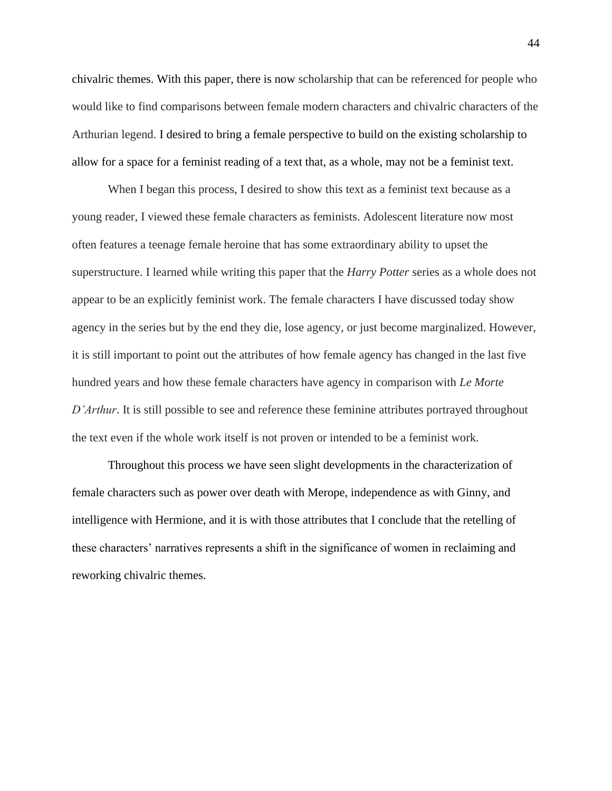chivalric themes. With this paper, there is now scholarship that can be referenced for people who would like to find comparisons between female modern characters and chivalric characters of the Arthurian legend. I desired to bring a female perspective to build on the existing scholarship to allow for a space for a feminist reading of a text that, as a whole, may not be a feminist text.

When I began this process, I desired to show this text as a feminist text because as a young reader, I viewed these female characters as feminists. Adolescent literature now most often features a teenage female heroine that has some extraordinary ability to upset the superstructure. I learned while writing this paper that the *Harry Potter* series as a whole does not appear to be an explicitly feminist work. The female characters I have discussed today show agency in the series but by the end they die, lose agency, or just become marginalized. However, it is still important to point out the attributes of how female agency has changed in the last five hundred years and how these female characters have agency in comparison with *Le Morte D'Arthur*. It is still possible to see and reference these feminine attributes portrayed throughout the text even if the whole work itself is not proven or intended to be a feminist work.

Throughout this process we have seen slight developments in the characterization of female characters such as power over death with Merope, independence as with Ginny, and intelligence with Hermione, and it is with those attributes that I conclude that the retelling of these characters' narratives represents a shift in the significance of women in reclaiming and reworking chivalric themes.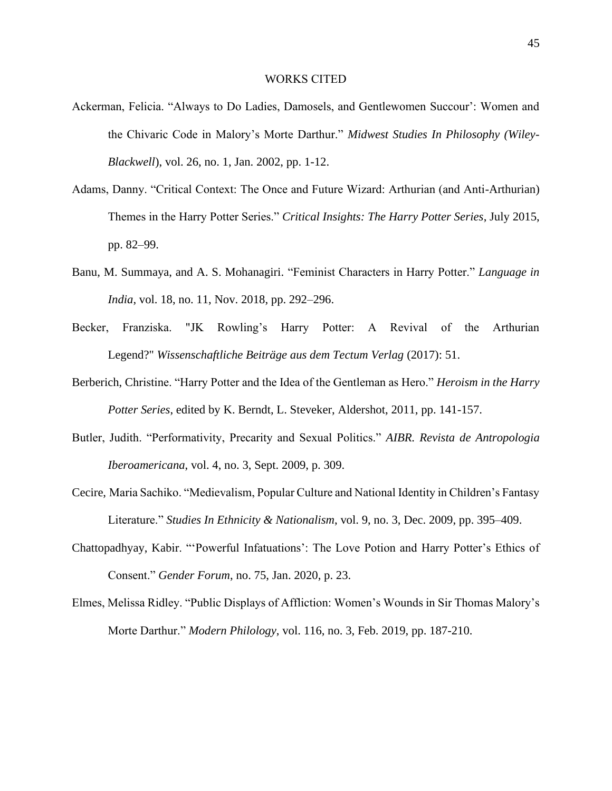### WORKS CITED

- Ackerman, Felicia. "Always to Do Ladies, Damosels, and Gentlewomen Succour': Women and the Chivaric Code in Malory's Morte Darthur." *Midwest Studies In Philosophy (Wiley-Blackwell*), vol. 26, no. 1, Jan. 2002, pp. 1-12.
- Adams, Danny. "Critical Context: The Once and Future Wizard: Arthurian (and Anti-Arthurian) Themes in the Harry Potter Series." *Critical Insights: The Harry Potter Series*, July 2015, pp. 82–99.
- Banu, M. Summaya, and A. S. Mohanagiri. "Feminist Characters in Harry Potter." *Language in India*, vol. 18, no. 11, Nov. 2018, pp. 292–296.
- Becker, Franziska. "JK Rowling's Harry Potter: A Revival of the Arthurian Legend?" *Wissenschaftliche Beiträge aus dem Tectum Verlag* (2017): 51.
- Berberich, Christine. "Harry Potter and the Idea of the Gentleman as Hero." *Heroism in the Harry Potter Series*, edited by K. Berndt, L. Steveker, Aldershot, 2011, pp. 141-157.
- Butler, Judith. "Performativity, Precarity and Sexual Politics." *AIBR. Revista de Antropologia Iberoamericana*, vol. 4, no. 3, Sept. 2009, p. 309.
- Cecire, Maria Sachiko. "Medievalism, Popular Culture and National Identity in Children's Fantasy Literature." *Studies In Ethnicity & Nationalism*, vol. 9, no. 3, Dec. 2009, pp. 395–409.
- Chattopadhyay, Kabir. "'Powerful Infatuations': The Love Potion and Harry Potter's Ethics of Consent." *Gender Forum*, no. 75, Jan. 2020, p. 23.
- Elmes, Melissa Ridley. "Public Displays of Affliction: Women's Wounds in Sir Thomas Malory's Morte Darthur." *Modern Philology*, vol. 116, no. 3, Feb. 2019, pp. 187-210.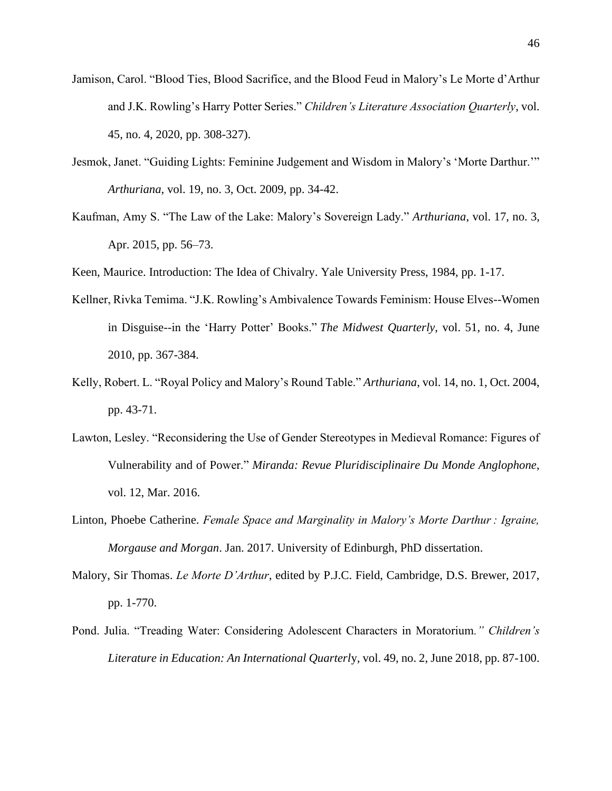- Jamison, Carol. "Blood Ties, Blood Sacrifice, and the Blood Feud in Malory's Le Morte d'Arthur and J.K. Rowling's Harry Potter Series." *Children's Literature Association Quarterly*, vol. 45, no. 4, 2020, pp. 308-327).
- Jesmok, Janet. "Guiding Lights: Feminine Judgement and Wisdom in Malory's 'Morte Darthur.'" *Arthuriana*, vol. 19, no. 3, Oct. 2009, pp. 34-42.
- Kaufman, Amy S. "The Law of the Lake: Malory's Sovereign Lady." *Arthuriana*, vol. 17, no. 3, Apr. 2015, pp. 56–73.

Keen, Maurice. Introduction: The Idea of Chivalry. Yale University Press, 1984, pp. 1-17.

- Kellner, Rivka Temima. "J.K. Rowling's Ambivalence Towards Feminism: House Elves--Women in Disguise--in the 'Harry Potter' Books." *The Midwest Quarterly*, vol. 51, no. 4, June 2010, pp. 367-384.
- Kelly, Robert. L. "Royal Policy and Malory's Round Table." *Arthuriana*, vol. 14, no. 1, Oct. 2004, pp. 43-71.
- Lawton, Lesley. "Reconsidering the Use of Gender Stereotypes in Medieval Romance: Figures of Vulnerability and of Power." *Miranda: Revue Pluridisciplinaire Du Monde Anglophone*, vol. 12, Mar. 2016.
- Linton, Phoebe Catherine. *Female Space and Marginality in Malory's Morte Darthur : Igraine, Morgause and Morgan*. Jan. 2017. University of Edinburgh, PhD dissertation.
- Malory, Sir Thomas. *Le Morte D'Arthur*, edited by P.J.C. Field, Cambridge, D.S. Brewer, 2017, pp. 1-770.
- Pond. Julia. "Treading Water: Considering Adolescent Characters in Moratorium*." Children's Literature in Education: An International Quarterl*y, vol. 49, no. 2, June 2018, pp. 87-100.